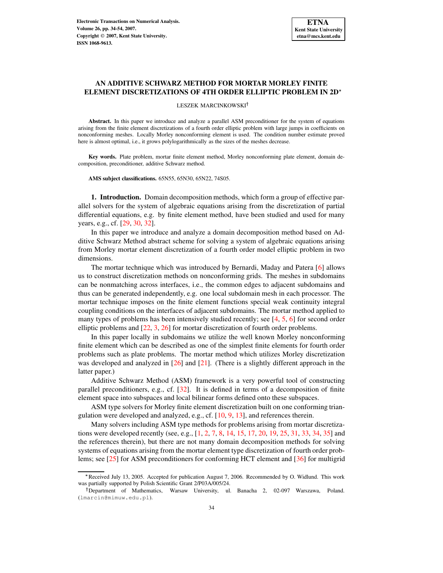# **AN ADDITIVE SCHWARZ METHOD FOR MORTAR MORLEY FINITE ELEMENT DISCRETIZATIONS OF 4TH ORDER ELLIPTIC PROBLEM IN 2D**

### LESZEK MARCINKOWSKI

**Abstract.** In this paper we introduce and analyze a parallel ASM preconditioner for the system of equations arising from the finite element discretizations of a fourth order elliptic problem with large jumps in coefficients on nonconforming meshes. Locally Morley nonconforming element is used. The condition number estimate proved here is almost optimal, i.e., it grows polylogarithmically as the sizes of the meshes decrease.

**Key words.** Plate problem, mortar finite element method, Morley nonconforming plate element, domain decomposition, preconditioner, additive Schwarz method.

**AMS subject classifications.** 65N55, 65N30, 65N22, 74S05.

**1. Introduction.** Domain decomposition methods, which form a group of effective parallel solvers for the system of algebraic equations arising from the discretization of partial differential equations, e.g. by finite element method, have been studied and used for many years, e.g., cf. [\[29,](#page-20-0) [30,](#page-20-1) [32\]](#page-20-2).

In this paper we introduce and analyze a domain decomposition method based on Additive Schwarz Method abstract scheme for solving a system of algebraic equations arising from Morley mortar element discretization of a fourth order model elliptic problem in two dimensions.

The mortar technique which was introduced by Bernardi, Maday and Patera [\[6\]](#page-19-0) allows us to construct discretization methods on nonconforming grids. The meshes in subdomains can be nonmatching across interfaces, i.e., the common edges to adjacent subdomains and thus can be generated independently, e.g. one local subdomain mesh in each processor. The mortar technique imposes on the finite element functions special weak continuity integral coupling conditions on the interfaces of adjacent subdomains. The mortar method applied to many types of problems has been intensively studied recently; see [\[4,](#page-19-1) [5,](#page-19-2) [6\]](#page-19-0) for second order elliptic problems and [\[22,](#page-20-3) [3,](#page-19-3) [26\]](#page-20-4) for mortar discretization of fourth order problems.

In this paper locally in subdomains we utilize the well known Morley nonconforming finite element which can be described as one of the simplest finite elements for fourth order problems such as plate problems. The mortar method which utilizes Morley discretization was developed and analyzed in  $[26]$  and  $[21]$ . (There is a slightly different approach in the latter paper.)

Additive Schwarz Method (ASM) framework is a very powerful tool of constructing parallel preconditioners, e.g., cf. [\[32\]](#page-20-2). It is defined in terms of a decomposition of finite element space into subspaces and local bilinear forms defined onto these subspaces.

ASM type solvers for Morley finite element discretization built on one conforming triangulation were developed and analyzed, e.g., cf. [\[10,](#page-19-4) [9,](#page-19-5) [13\]](#page-20-6), and references therein.

Many solvers including ASM type methods for problems arising from mortar discretizations were developed recently (see, e.g., [\[1,](#page-19-6) [2,](#page-19-7) [7,](#page-19-8) [8,](#page-19-9) [14,](#page-20-7) [15,](#page-20-8) [17,](#page-20-9) [20,](#page-20-10) [19,](#page-20-11) [25,](#page-20-12) [31,](#page-20-13) [33,](#page-20-14) [34,](#page-20-15) [35\]](#page-20-16) and the references therein), but there are not many domain decomposition methods for solving systems of equations arising from the mortar element type discretization of fourth order problems; see [\[25\]](#page-20-12) for ASM preconditioners for conforming HCT element and [\[36\]](#page-20-17) for multigrid

<sup>-</sup> Received July 13, 2005. Accepted for publication August 7, 2006. Recommended by O. Widlund. This work was partially supported by Polish Scientific Grant 2/P03A/005/24.

Department of Mathematics, Warsaw University, ul. Banacha 2, 02-097 Warszawa, Poland. (lmarcin@mimuw.edu.pl).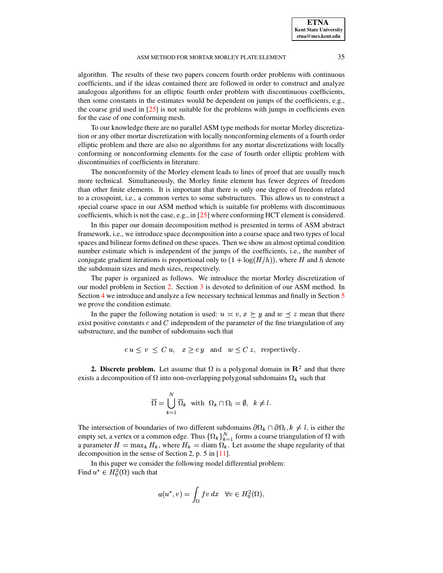**ETNA Kent State University etna@mcs.kent.edu**

## ASM METHOD FOR MORTAR MORLEY PLATE ELEMENT 35

algorithm. The results of these two papers concern fourth order problems with continuous coefficients, and if the ideas contained there are followed in order to construct and analyze analogous algorithms for an elliptic fourth order problem with discontinuous coefficients, then some constants in the estimates would be dependent on jumps of the coefficients, e.g., the coarse grid used in [\[25\]](#page-20-12) is not suitable for the problems with jumps in coefficients even for the case of one conforming mesh.

To our knowledge there are no parallel ASM type methods for mortar Morley discretization or any other mortar discretization with locally nonconforming elements of a fourth order elliptic problem and there are also no algorithms for any mortar discretizations with locally conforming or nonconforming elements for the case of fourth order elliptic problem with discontinuities of coefficients in literature.

The nonconformity of the Morley element leads to lines of proof that are usually much more technical. Simultaneously, the Morley finite element has fewer degrees of freedom than other finite elements. It is important that there is only one degree of freedom related to a crosspoint, i.e., a common vertex to some substructures. This allows us to construct a special coarse space in our ASM method which is suitable for problems with discontinuous coefficients, which is not the case, e.g., in [\[25\]](#page-20-12) where conforming HCT element is considered.

In this paper our domain decomposition method is presented in terms of ASM abstract framework, i.e., we introduce space decomposition into a coarse space and two types of local spaces and bilinear forms defined on these spaces. Then we show an almost optimal condition number estimate which is independent of the jumps of the coefficients, i.e., the number of conjugate gradient iterations is proportional only to  $(1 + \log(H/h))$ , where H and h denote the subdomain sizes and mesh sizes, respectively.

The paper is organized as follows. We introduce the mortar Morley discretization of our model problem in Section [2.](#page-1-0) Section [3](#page-4-0) is devoted to definition of our ASM method. In Section [4](#page-8-0) we introduce and analyze a few necessary technical lemmas and finally in Section [5](#page-16-0) we prove the condition estimate.

In the paper the following notation is used:  $u \approx v$ ,  $x \succ y$  and  $w \prec z$  mean that there exist positive constants  $c$  and  $C$  independent of the parameter of the fine triangulation of any substructure, and the number of subdomains such that

$$
c u \le v \le Cu
$$
,  $x \ge cy$  and  $w \le C z$ , respectively.

<span id="page-1-0"></span>**2. Discrete problem.** Let assume that  $\Omega$  is a polygonal domain in  $\mathbb{R}^2$  and that there exists a decomposition of  $\Omega$  into non-overlapping polygonal subdomains  $\Omega_k$  such that

$$
\overline{\Omega} = \bigcup_{k=1}^{N} \overline{\Omega}_k \text{ with } \Omega_k \cap \Omega_l = \emptyset, \ k \neq l.
$$

The intersection of boundaries of two different subdomains  $\partial\Omega_k \cap \partial\Omega_l$ ,  $k \neq l$ , is either the empty set, a vertex or a common edge. Thus  $\{\Omega_k\}_{k=1}^N$  forms a coarse triangulation of  $\Omega$  with a parameter  $H = \max_k H_k$ , where  $H_k = \text{diam } \Omega_k$ . Let assume the shape regularity of that decomposition in the sense of Section 2, p. 5 in [\[11\]](#page-19-10).

In this paper we consider the following model differential problem: Find  $u^* \in H_0^2(\Omega)$  such that

$$
a(u^*, v) = \int_{\Omega} f v \, dx \quad \forall v \in H_0^2(\Omega),
$$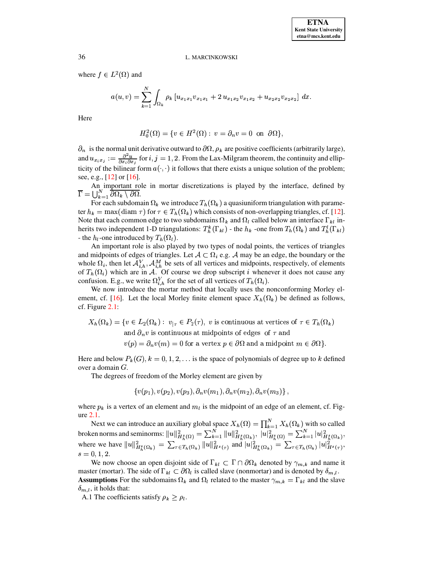where  $f \in L^2(\Omega)$  and

$$
a(u,v)=\sum_{k=1}^N\int_{\Omega_k} \rho_k\left[u_{x_1x_1}v_{x_1x_1}+2\ u_{x_1x_2}v_{x_1x_2}+u_{x_2x_2}v_{x_2x_2}\right]\,dx.
$$

Here

$$
H_0^2(\Omega) = \{ v \in H^2(\Omega) : v = \partial_n v = 0 \text{ on } \partial\Omega \},
$$

 $\partial_n$  is the normal unit derivative outward to  $\partial\Omega$ ,  $\rho_k$  are positive coefficients (arbitrarily large), and  $u_{x_i x_j} := \frac{\partial^2 u}{\partial x_i \partial x}$  for  $i, j$ ticity of the bilinear form  $a(\cdot, \cdot)$  it follows that there exists a unique solution of the problem;  $\frac{\partial^2 u}{\partial x_i \partial x_j}$  for  $i, j = 1, 2$ . From the Lax-Milgram theorem, the continuity and ellipsee, e.g.,  $[12]$  or  $[16]$ .

An important role in mortar discretizations is played by the interface, defined by  $\Gamma = \prod_{k=1}^N \partial \Omega_k \setminus \partial \Omega.$  $\frac{N}{k-1} \overline{\partial \Omega_k \setminus \partial \Omega}.$ 

For each subdomain  $\Omega_k$  we introduce  $T_h(\Omega_k)$  a quasiuniform triangulation with parameter  $h_k = \max(\text{diam }\tau)$  for  $\tau \in T_h(\Omega_k)$  which consists of non-overlapping triangles, cf. [\[12\]](#page-20-18). Note that each common edge to two subdomains  $\Omega_k$  and  $\Omega_l$  called below an interface  $\Gamma_{kl}$  inherits two independent 1-D triangulations:  $T_h^k(\Gamma_{kl})$  - t  $(\Gamma_{kl})$  - the  $h_k$  -one from  $T_h(\Omega_k)$  and  $T_h^l(\Gamma_{kl})$  $(\Gamma_{\nu l})$ - the  $h_l$ -one introduced by  $T_h(\Omega_l)$ .

An important role is also played by two types of nodal points, the vertices of triangles and midpoints of edges of triangles. Let  $A \subset \Omega_i$  e.g. A may be an edge, the boundary or the whole  $\Omega_i$ , then let  $\mathcal{A}_{i,h}^V$ ,  $\mathcal{A}_{i,h}^M$  be sets of all vertices and midpoints, respectively, of elements of  $T_h(\Omega_i)$  which are in A. Of course we drop subscript *i* whenever it does not cause any confusion. E.g., we write  $\Omega_{i,h}^V$  for the set of all vertices of  $T_h(\Omega_i)$ .

We now introduce the mortar method that locally uses the nonconforming Morley el-ement, cf. [\[16\]](#page-20-19). Let the local Morley finite element space  $X_h(\Omega_k)$  be defined as follows, cf. Figure [2.1:](#page-3-0)

$$
X_h(\Omega_k) = \{ v \in L_2(\Omega_k) : v_{|\tau} \in P_2(\tau), v \text{ is continuous at vertices of } \tau \in T_h(\Omega_k) \text{ and } \partial_n v \text{ is continuous at midpoints of edges of } \tau \text{ and}
$$

 $v(p) = \partial_n v(m) = 0$  for a vertex  $p \in \partial \Omega$  and a midpoint  $m \in \partial \Omega$ .

Here and below  $P_k(G)$ ,  $k = 0, 1, 2, \ldots$  is the space of polynomials of degree up to k defined over a domain  $G$ .

The degrees of freedom of the Morley element are given by

$$
\{v(p_1), v(p_2), v(p_3), \partial_n v(m_1), \partial_n v(m_2), \partial_n v(m_3)\}\,,
$$

where  $p_k$  is a vertex of an element and  $m_l$  is the midpoint of an edge of an element, cf. Figure [2.1.](#page-3-0)

Next we can introduce an auxiliary global space  $X_h(\Omega) = \prod_{k=1}^N X_h(\Omega_k)$  with a  $\sum_{k=1}^{N} X_h(\Omega_k)$  with so called broken norms and seminorms:  $||u||_{H_h^s(\Omega)}^2 = \sum_{k=1}^N ||u||_{H_h^s(\Omega_k)}^2$ ,  $|u|_{H_h^s(\Omega)}^2 = \sum_{k=1}^N |u|_{H_h^s(\Omega_k)}^2$ ,<br>where we have  $||u||_{H^s(\Omega_k)}^2 = \sum_{\tau \in T_k(\Omega_k)} ||u||_{H^s(\Omega_k)}^2$  and  $||u||_{H^s(\Omega_k)}^2 = \sum_{\tau \in T_k(\Omega_k)} ||u||_{H^s(\tau)}^2$ ,  $s = 0, 1, 2.$ 

We now choose an open disjoint side of  $\Gamma_{kl} \subset \Gamma \cap \partial \Omega_k$  denoted by  $\gamma_{m,k}$  and name it master (mortar). The side of  $\Gamma_{kl} \subset \partial \Omega_l$  is called slave (nonmortar) and is denoted by  $\delta_{m,l}$ . **Assumptions** For the subdomains  $\Omega_k$  and  $\Omega_l$  related to the master  $\gamma_{m,k} = \Gamma_{kl}$  and the slave  $\delta_{m,l}$ , it holds that:

A.1 The coefficients satisfy  $\rho_k \geq \rho_l$ .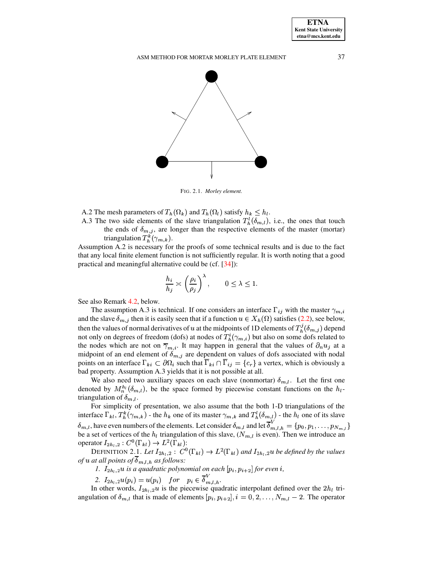<span id="page-3-0"></span>FIG. 2.1. *Morley element.*

- A.2 The mesh parameters of  $T_h(\Omega_k)$  and  $T_h(\Omega_l)$  satisfy  $h_k \leq h_l$ .
- A.3 The two side elements of the slave triangulation  $T_h^l(\delta_{m,l})$ , i  $(\delta_{m,l})$ , i.e., the ones that touch the ends of  $\delta_{m,j}$ , are longer than the respective elements of the master (mortar) triangulation  $T_h^k(\gamma_{m,k})$ .

Assumption A.2 is necessary for the proofs of some technical results and is due to the fact that any local finite element function is not sufficiently regular. It is worth noting that a good practical and meaningful alternative could be (cf. [\[34\]](#page-20-15)):

$$
\frac{h_i}{h_j} \asymp \left(\frac{\rho_i}{\rho_j}\right)^{\lambda}, \qquad 0 \le \lambda \le 1.
$$

See also Remark [4.2,](#page-15-0) below.

The assumption A.3 is technical. If one considers an interface  $\Gamma_{ij}$  with the master  $\gamma_{m,i}$ and the slave  $\delta_{m,j}$  then it is easily seen that if a function  $u \in X_h(\Omega)$  satisfies [\(2.2\)](#page-4-1), see below, then the values of normal derivatives of u at the midpoints of 1D elements of  $T_h^j(\delta_{m,j})$  depend  $(\delta_{m,j})$  depend not only on degrees of freedom (dofs) at nodes of  $T_{h}^{i}(\gamma_{m,i})$  but also on some dofs related to the nodes which are not on  $\overline{\gamma}_{m,i}$ . It may happen in general that the values of  $\partial_n u_i$  at a midpoint of an end element of  $\delta_{m,j}$  are dependent on values of dofs associated with nodal points on an interface  $\Gamma_{ki} \subset \partial \Omega_i$  such that  $\Gamma_{ki} \cap \Gamma_{ij} = \{c_r\}$  a vertex, which is obviously a bad property. Assumption A.3 yields that it is not possible at all.

We also need two auxiliary spaces on each slave (nonmortar)  $\delta_{m,l}$ . Let the first one denoted by  $M_n^{h_1}(\delta_{m,l})$ , be the space formed by piecewise constant functions on the  $h_l$ triangulation of  $\delta_{m,l}$ .

For simplicity of presentation, we also assume that the both 1-D triangulations of the interface  $\Gamma_{kl}$ ,  $T_h^k(\gamma_{m,k})$  - the  $h_k$  one of its master  $\gamma_{m,k}$  and  $T_h^l(\delta_{m,l})$  - $(\delta_{m,l})$  - the  $h_l$  one of its slave  $\delta_{m,l}$ , have even numbers of the elements. Let consider  $\delta_{m,l}$  and let  $\delta'_{m,l}$   $_h = \{p_0, p_1, \ldots, p_{N_{m-l}}\}$ be a set of vertices of the  $h_l$  triangulation of this slave,  $(N_{m,l}$  is even). Then we introduce an operator  $I_{2h_l,2}: C^0(\Gamma_{kl}) \to L^2(\Gamma)$  ${}^0(\Gamma_{kl}) \rightarrow L^2(\Gamma_{kl})$ :

DEFINITION 2.1. Let  $I_{2h_l,2}: C^0(\Gamma_{kl}) \to L^2(\Gamma)$  $^{0}(\Gamma_{kl}) \rightarrow L^{2}(\Gamma_{kl})$  and  $I_{2h_l,2}$  *be defined by the values of*  $u$  *at all points of*  $\delta_{m,l,h}$  *as follows:* 

*1.*  $I_{2h_l,2}u$  is a quadratic polynomial on each  $[p_i, p_{i+2}]$  for even i,

2.  $I_{2h_l,2}u(p_i) = u(p_i)$  for  $p_i \in \delta_{m,l,h}^{\kappa}$ .

In other words,  $I_{2h_l,2}u$  is the piecewise quadratic interpolant defined over the  $2h_l$  triangulation of  $\delta_{m,l}$  that is made of elements  $[p_i, p_{i+2}], i = 0, 2, ..., N_{m,l} - 2$ . The operator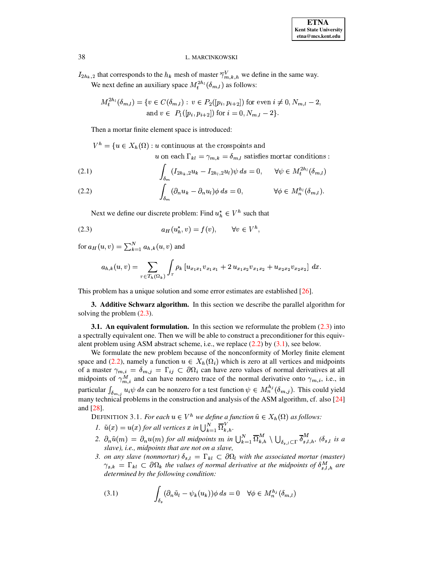$I_{2h_k,2}$  that corresponds to the  $h_k$  mesh of master  $\overline{\gamma}_{m,k,h}^V$  we define in the same way. We next define an auxiliary space  $M_t^{2h_l}(\delta_{m,l})$  as follows:

$$
M_t^{2h_l}(\delta_{m,l}) = \{ v \in C(\delta_{m,l}) : v \in P_2([p_i, p_{i+2}]) \text{ for even } i \neq 0, N_{m,l} - 2, \text{ and } v \in P_1([p_i, p_{i+2}]) \text{ for } i = 0, N_{m,l} - 2 \}.
$$

Then a mortar finite element space is introduced:

 $V^h = \{u \in X_h(\Omega) : u$  continuous at the crosspoints and

u on each  $\Gamma_{kl} = \gamma_{m,k} = \delta_{m,l}$  satisfies mortar conditions :

<span id="page-4-1"></span>(2.1) 
$$
\int_{\delta_m} (I_{2h_k,2}u_k - I_{2h_l,2}u_l)\psi ds = 0, \quad \forall \psi \in M_t^{2h_l}(\delta_{m,l})
$$

(2.2) 
$$
\int_{\delta_m} (\partial_n u_k - \partial_n u_l) \phi \, ds = 0, \qquad \forall \phi \in M_n^{h_l}(\delta_{m,l}).
$$

<span id="page-4-2"></span>Next we define our discrete problem: Find  $u_h^* \in V^h$  such that

$$
(2.3) \t\t a_H(u_h^*, v) = f(v), \t\t \forall v \in V^h,
$$

for  $a_H(u, v) = \sum_{k=1}^N a_{h,k}(u, v)$  and

$$
a_{h,k}(u,v)=\sum_{\tau\in T_h(\Omega_k)}\int_{\tau}\rho_k\left[u_{x_1x_1}v_{x_1x_1}+2\,u_{x_1x_2}v_{x_1x_2}+u_{x_2x_2}v_{x_2x_2}\right]\,dx.
$$

<span id="page-4-0"></span>This problem has a unique solution and some error estimates are established  $[26]$ .

**3. Additive Schwarz algorithm.** In this section we describe the parallel algorithm for solving the problem  $(2.3)$ .

<span id="page-4-5"></span>**3.1.** An equivalent formulation. In this section we reformulate the problem  $(2.3)$  into a spectrally equivalent one. Then we will be able to construct a preconditioner for this equivalent problem using ASM abstract scheme, i.e., we replace  $(2.2)$  by  $(3.1)$ , see below.

We formulate the new problem because of the nonconformity of Morley finite element space and (2.2), namely a function  $u \in X_h(\Omega_i)$  which is zero at all vertices and midpoints of a master  $\gamma_{m,i} = \delta_{m,j} = \Gamma_{ij} \subset \partial \Omega_i$  can have zero values of normal derivatives at all midpoints of  $\gamma_{m,i}^M$  and can have nonzero trace of the normal derivative onto  $\gamma_{m,i}$ , i.e., in particular  $\int_{\delta_{m,i}} u_i \psi ds$  can be nonzero for a test function  $\psi \in M_n^{h_j}(\delta_{m,j})$ . This could yield many technical problems in the construction and analysis of the ASM algorithm, cf. also [24] and [28].

<span id="page-4-4"></span>DEFINITION 3.1. For each  $u \in V^h$  we define a function  $\tilde{u} \in X_h(\Omega)$  as follows:

1.  $\tilde{u}(x) = u(x)$  for all vertices x in  $\bigcup_{k=1}^{N} \overline{\Omega}_{k,h}^{V}$ .

- 2.  $\partial_n\tilde{u}(m) = \partial_nu(m)$  for all midpoints m in  $\bigcup_{k=1}^N \overline{\Omega}_{k,h}^M \setminus \bigcup_{\delta_{s,l}\subset \Gamma} \overline{\delta}_{s,l,h}^M$ ,  $(\delta_{s,l}$  is a slave), i.e., midpoints that are not on a slave,
- 3. on any slave (nonmortar)  $\delta_{s,l} = \Gamma_{kl} \subset \partial \Omega_l$  with the associated mortar (master)  $\gamma_{s,k} = \Gamma_{kl} \subset \partial \Omega_k$  the values of normal derivative at the midpoints of  $\delta_{s,l,h}^M$  are determined by the following condition:

<span id="page-4-3"></span>(3.1) 
$$
\int_{\delta_s} (\partial_n \tilde{u}_l - \psi_k(u_k)) \phi \, ds = 0 \quad \forall \phi \in M_n^{h_j}(\delta_{m,l})
$$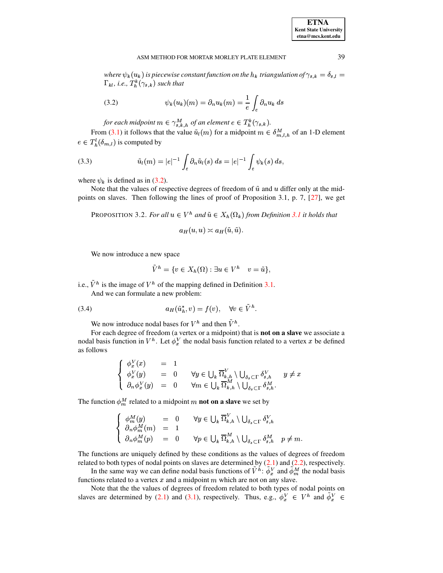where  $\psi_k(u_k)$  is piecewise constant function on the  $h_k$  triangulation of  $\gamma_{s,k} = \delta_{s,l} =$  $\Gamma_{kl}$ , *i.e.*,  $T_h^k(\gamma_{s,k})$  such that

<span id="page-5-0"></span>(3.2) 
$$
\psi_k(u_k)(m) = \partial_n u_k(m) = \frac{1}{e} \int_e \partial_n u_k ds
$$

for each midpoint  $m \in \gamma_{s,k,h}^M$  of an element  $e \in T_h^k(\gamma_{s,k}).$ 

From [\(3.1\)](#page-4-3) it follows that the value  $\tilde{u}_l(m)$  for a midpoint  $m \in \delta_{m,l,h}^M$  of an 1-D element  $e \in T_h^{\iota}(\delta_{m,l})$  is  $(\delta_{m,l})$  is computed by

<span id="page-5-3"></span>(3.3) 
$$
\tilde{u}_l(m) = |e|^{-1} \int_e \partial_n \tilde{u}_l(s) \, ds = |e|^{-1} \int_e \psi_k(s) \, ds,
$$

where  $\psi_k$  is defined as in [\(3.2\)](#page-5-0).

<span id="page-5-1"></span>Note that the values of respective degrees of freedom of  $\tilde{u}$  and  $u$  differ only at the midpoints on slaves. Then following the lines of proof of Proposition 3.1, p. 7, [\[27\]](#page-20-22), we get

PROPOSITION 3.2. *For all*  $u \in V^h$  and  $\tilde{u} \in X_h(\Omega_k)$  from Definition [3.1](#page-4-4) it holds that

$$
a_H(u, u) \asymp a_H(\tilde{u}, \tilde{u}).
$$

We now introduce a new space

$$
\tilde{V}^h = \{ v \in X_h(\Omega) : \exists u \in V^h \mid v = \tilde{u} \},
$$

i.e.,  $V^h$  is the image of  $V^h$  of the mapping defined in Definition [3.1.](#page-4-4)

And we can formulate a new problem:

$$
(3.4) \t a_H(\tilde{u}_h^*, v) = f(v), \quad \forall v \in V^h.
$$

<span id="page-5-2"></span>We now introduce nodal bases for  $V^h$  and then  $V^h$ .

For each degree of freedom (a vertex or a midpoint) that is **not on a slave** we associate a nodal basis function in  $V^h$ . Let  $\phi_x^V$  the nodal basis function related to a vertex x be defined as follows

$$
\begin{cases}\n\begin{array}{rcl}\n\phi_x^V(x) & = & 1 \\
\phi_x^V(y) & = & 0 \\
\partial_n \phi_x^V(y) & = & 0\n\end{array} & \forall y \in \bigcup_k \overline{\Omega}_{k,h}^V \setminus \bigcup_{\delta_s \subset \Gamma} \delta_{s,h}^V \qquad y \neq x \\
\phi_x^V(y) & = & 0\n\end{array}\n\end{cases}
$$

The function  $\phi_m^M$  related to a midpoint m **not** on a slave we set by

$$
\begin{cases}\n\phi_m^M(y) = 0 & \forall y \in \bigcup_k \overline{\Omega}_{k,h}^V \setminus \bigcup_{\delta_s \subset \Gamma} \delta_{s,h}^V \\
\partial_n \phi_m^M(m) = 1 & \partial_n \phi_m^M(p) = 0 & \forall p \in \bigcup_k \overline{\Omega}_{k,h}^M \setminus \bigcup_{\delta_s \subset \Gamma} \delta_{s,h}^M & p \neq m.\n\end{cases}
$$

The functions are uniquely defined by these conditions as the values of degrees of freedom related to both types of nodal points on slaves are determined by  $(2.1)$  and  $(2.2)$ , respectively.

In the same way we can define nodal basis functions of  $V^h$ :  $\phi_x^V$  and  $\phi_m^M$  the nodal basis functions related to a vertex  $x$  and a midpoint  $m$  which are not on any slave.

Note that the the values of degrees of freedom related to both types of nodal points on slaves are determined by [\(2.1\)](#page-4-1) and [\(3.1\)](#page-4-3), respectively. Thus, e.g.,  $\phi_x^V \in V^h$  and  $\phi_x^V \in$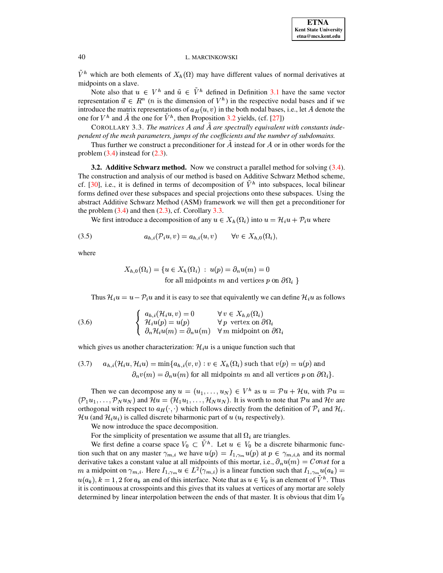$V^h$  which are both elements of  $X_h(\Omega)$  may have different values of normal derivatives at midpoints on a slave.

Note also that  $u \in V^h$  and  $\tilde{u} \in V^h$  defined in Definition [3.1](#page-4-4) have the same vector representation  $\vec{u} \in R^n$  (*n* is the dimension of  $V^h$ ) in the respective nodal bases and if we introduce the matrix representations of  $a_H(u, v)$  in the both nodal bases, i.e., let A denote the one for  $V^h$  and A the one for  $V^h$ , then Proposition [3.2](#page-5-1) yields, (cf. [\[27\]](#page-20-22))

<span id="page-6-0"></span>COROLLARY 3.3. The matrices A and A are spectrally equivalent with constants inde*pendent of the mesh parameters, jumps of the coefficients and the number of subdomains.*

Thus further we construct a preconditioner for  $A$  instead for  $A$  or in other words for the problem  $(3.4)$  instead for  $(2.3)$ .

**3.2. Additive Schwarz method.** Now we construct a parallel method for solving [\(3.4\)](#page-5-2). The construction and analysis of our method is based on Additive Schwarz Method scheme, cf. [\[30\]](#page-20-1), i.e., it is defined in terms of decomposition of  $V^h$  into subspaces, local bilinear forms defined over these subspaces and special projections onto these subspaces. Using the abstract Additive Schwarz Method (ASM) framework we will then get a preconditioner for the problem  $(3.4)$  and then  $(2.3)$ , cf. Corollary  $3.3$ .

<span id="page-6-3"></span>We first introduce a decomposition of any  $u \in X_h(\Omega_i)$  into  $u = \mathcal{H}_i u + \mathcal{P}_i u$  where

$$
(3.5) \t\t\t a_{h,i}(\mathcal{P}_i u, v) = a_{h,i}(u, v) \quad \forall v \in X_{h,0}(\Omega_i),
$$

where

$$
X_{h,0}(\Omega_i) = \{ u \in X_h(\Omega_i) : u(p) = \partial_n u(m) = 0
$$
  
for all midpoints *m* and vertices *p* on  $\partial \Omega_i$ 

Thus  $\mathcal{H}_i u = u - \mathcal{P}_i u$  and it is easy to see that equivalently we can define  $\mathcal{H}_i u$  as follows

<span id="page-6-1"></span>(3.6) 
$$
\begin{cases} a_{h,i}(\mathcal{H}_i u, v) = 0 & \forall v \in X_{h,0}(\Omega_i) \\ \mathcal{H}_i u(p) = u(p) & \forall p \text{ vertex on } \partial \Omega_i \\ \partial_n \mathcal{H}_i u(m) = \partial_n u(m) & \forall m \text{ midpoint on } \partial \Omega_i \end{cases}
$$

which gives us another characterization:  $\mathcal{H}_{i}u$  is a unique function such that

<span id="page-6-2"></span>(3.7) 
$$
a_{h,i}(\mathcal{H}_i u, \mathcal{H}_i u) = \min\{a_{h,i}(v, v) : v \in X_h(\Omega_i) \text{ such that } v(p) = u(p) \text{ and}
$$

$$
\partial_n v(m) = \partial_n u(m) \text{ for all midpoints } m \text{ and all vertices } p \text{ on } \partial\Omega_i\}.
$$

Then we can decompose any  $u = (u_1, \ldots, u_N) \in V^h$  as  $u = \mathcal{P}u + \mathcal{H}u$ , with  $\mathcal{P}u =$  $(\mathcal{P}_1u_1,\ldots,\mathcal{P}_Nu_N)$  and  $\mathcal{H}u=(\mathcal{H}_1u_1,\ldots,\mathcal{H}_Nu_N)$ . It is worth to note that  $\mathcal{P}u$  and  $\mathcal{H}v$  are orthogonal with respect to  $a_H(\cdot, \cdot)$  which follows directly from the definition of  $\mathcal{P}_i$  and  $\mathcal{H}_i$ .  $\mathcal{H}u$  (and  $\mathcal{H}_i u_i$ ) is called discrete biharmonic part of  $u(u_i)$  respectively).

We now introduce the space decomposition.

For the simplicity of presentation we assume that all  $\Omega_i$  are triangles.

We first define a coarse space  $V_0 \subset V^h$ . Let  $u \in V_0$  be a discrete biharmonic function such that on any master  $\gamma_{m,i}$  we have  $u(p) = I_{1,\gamma_m} u(p)$  at  $p \in \gamma_{m,i,h}$  and its normal derivative takes a constant value at all midpoints of this mortar, i.e.,  $\partial_n u(m) = Const$  for a m a midpoint on  $\gamma_{m,i}$ . Here  $I_{1,\gamma_m}u \in L^2(\gamma_{m,i})$  is a linear function such that  $I_{1,\gamma_m}u(a_k)$  =  $u(a_k)$ ,  $k = 1, 2$  for  $a_k$  an end of this interface. Note that as  $u \in V_0$  is an element of  $V^h$ . Thus it is continuous at crosspoints and this gives that its values at vertices of any mortar are solely determined by linear interpolation between the ends of that master. It is obvious that  $dim\ V_0$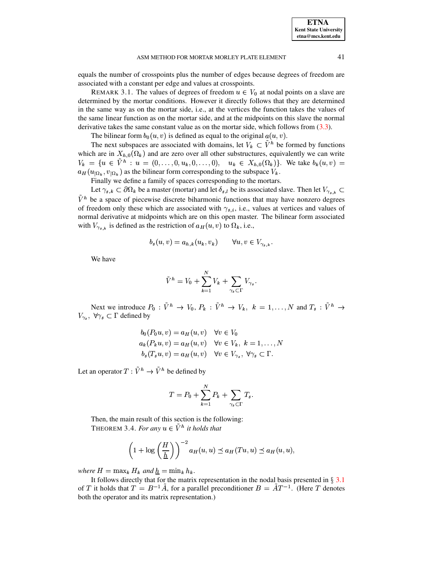equals the number of crosspoints plus the number of edges because degrees of freedom are associated with a constant per edge and values at crosspoints.

REMARK 3.1. The values of degrees of freedom  $u \in V_0$  at nodal points on a slave are determined by the mortar conditions. However it directly follows that they are determined in the same way as on the mortar side, i.e., at the vertices the function takes the values of the same linear function as on the mortar side, and at the midpoints on this slave the normal derivative takes the same constant value as on the mortar side, which follows from  $(3.3)$ .

The bilinear form  $b_0(u, v)$  is defined as equal to the original  $a(u, v)$ .

The next subspaces are associated with domains, let  $V_k \subset \tilde{V}^h$  be formed by functions which are in  $X_{h,0}(\Omega_k)$  and are zero over all other substructures, equivalently we can write  $V_k = \{u \in \tilde{V}^h : u = (0, \ldots, 0, u_k, 0, \ldots, 0), \quad u_k \in X_{h,0}(\Omega_k)\}.$  We take  $b_k(u, v) =$  $a_H(u_{|\Omega_k}, v_{|\Omega_k})$  as the bilinear form corresponding to the subspace  $V_k$ .

Finally we define a family of spaces corresponding to the mortars.

Let  $\gamma_{s,k} \subset \partial \Omega_k$  be a master (mortar) and let  $\delta_{s,l}$  be its associated slave. Then let  $V_{\gamma_{s,k}} \subset$  $\tilde{V}^h$  be a space of piecewise discrete biharmonic functions that may have nonzero degrees of freedom only these which are associated with  $\gamma_{s,i}$ , i.e., values at vertices and values of normal derivative at midpoints which are on this open master. The bilinear form associated with  $V_{\gamma_{s,k}}$  is defined as the restriction of  $a_H(u, v)$  to  $\Omega_k$ , i.e.,

$$
b_s(u,v) = a_{h,k}(u_k,v_k) \qquad \forall u,v \in V_{\gamma_{s,k}}.
$$

We have

$$
\tilde{V}^h = V_0 + \sum_{k=1}^N V_k + \sum_{\gamma_s \subset \Gamma} V_{\gamma_s}.
$$

Next we introduce  $P_0$ :  $\tilde{V}^h \to V_0$ ,  $P_k$ :  $\tilde{V}^h \to V_k$ ,  $k = 1, ..., N$  and  $T_s$ :  $\tilde{V}^h \to$  $V_{\gamma_s}$ ,  $\forall \gamma_s \subset \Gamma$  defined by

$$
b_0(P_0u, v) = a_H(u, v) \quad \forall v \in V_0
$$
  
\n
$$
a_k(P_ku, v) = a_H(u, v) \quad \forall v \in V_k, \ k = 1, ..., N
$$
  
\n
$$
b_s(T_su, v) = a_H(u, v) \quad \forall v \in V_{\gamma_s}, \ \forall \gamma_s \subset \Gamma.
$$

Let an operator  $T: \tilde{V}^h \to \tilde{V}^h$  be defined by

<span id="page-7-0"></span>
$$
T = P_0 + \sum_{k=1}^{N} P_k + \sum_{\gamma_s \subset \Gamma} T_s.
$$

Then, the main result of this section is the following: THEOREM 3.4. For any  $u \in \tilde{V}^h$  it holds that

$$
\left(1 + \log\left(\frac{H}{\underline{h}}\right)\right)^{-2} a_H(u, u) \preceq a_H(Tu, u) \preceq a_H(u, u),
$$

where  $H = \max_k H_k$  and  $h = \min_k h_k$ .

It follows directly that for the matrix representation in the nodal basis presented in  $\S 3.1$ of T it holds that  $T = B^{-1}\tilde{A}$ , for a parallel preconditioner  $B = \tilde{A}T^{-1}$ . (Here T denotes both the operator and its matrix representation.)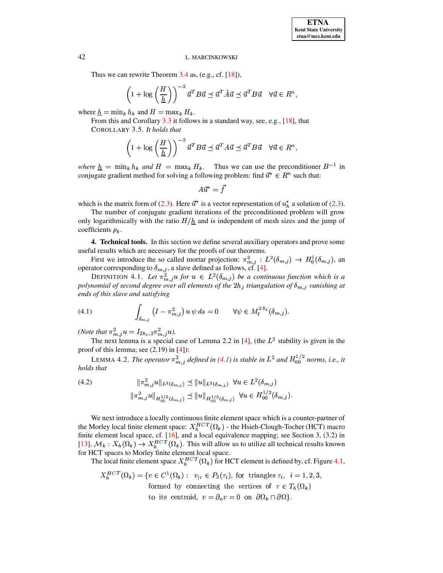Thus we can rewrite Theorem  $3.4$  as, (e.g., cf. [18]),

$$
\left(1 + \log\left(\frac{H}{\underline{h}}\right)\right)^{-2} \vec{u}^T B \vec{u} \preceq \vec{u}^T \tilde{A} \vec{u} \preceq \vec{u}^T B \vec{u} \quad \forall \vec{u} \in R^n
$$

where  $h = \min_k h_k$  and  $H = \max_k H_k$ .

From this and Corollary  $3.3$  it follows in a standard way, see, e.g., [18], that COROLLARY 3.5. It holds that

$$
\left(1 + \log\left(\frac{H}{\underline{h}}\right)\right)^{-2} \vec{u}^T B \vec{u} \preceq \vec{u}^T A \vec{u} \preceq \vec{u}^T B \vec{u} \quad \forall \vec{u} \in R^n,
$$

where  $\underline{h} = \min_k h_k$  and  $H = \max_k H_k$ . Thus we can use the preconditioner  $B^{-1}$  in conjugate gradient method for solving a following problem: find  $\vec{u}^* \in R^n$  such that:

$$
A\vec{u}^* = \vec{f}
$$

which is the matrix form of (2.3). Here  $\vec{u}^*$  is a vector representation of  $u_h^*$  a solution of (2.3).

The number of conjugate gradient iterations of the preconditioned problem will grow only logarithmically with the ratio  $H/\hbar$  and is independent of mesh sizes and the jump of coefficients  $\rho_k$ .

<span id="page-8-0"></span>4. Technical tools. In this section we define several auxiliary operators and prove some useful results which are necessary for the proofs of our theorems.

First we introduce the so called mortar projection:  $\pi_{m,j}^2 : L^2(\delta_{m,j}) \to H_0^1(\delta_{m,j})$ , and operator corresponding to  $\delta_{m,j}$ , a slave defined as follows, cf. [4].<br>DEFINITION 4.1. Let  $\pi_{m,j}^2 u$  for  $u \in L^2(\delta_{m,j})$  be a c

<span id="page-8-2"></span>polynomial of second degree over all elements of the  $2h_j$  triangulation of  $\delta_{m,j}$  vanishing at ends of this slave and satisfying

<span id="page-8-1"></span>(4.1) 
$$
\int_{\delta_{m,j}} \left( I - \pi_{m,j}^2 \right) u \, \psi \, ds = 0 \qquad \forall \psi \in M_t^{2 \, h_j}(\delta_{m,j}).
$$

(*Note that*  $\pi_{m,j}^2 u = I_{2h_j,2}\pi_{m,j}^2 u$ ).

The next lemma is a special case of Lemma 2.2 in [4], (the  $L^2$  stability is given in the proof of this lemma; see  $(2.19)$  in  $[4]$ :

LEMMA 4.2. The operator  $\pi_{m,i}^2$  defined in (4.1) is stable in  $L^2$  and  $H_{00}^{1/2}$  norms, i.e., it holds that

<span id="page-8-3"></span>
$$
(4.2) \t\t ||\pi_{m,j}^{2}u||_{L^{2}(\delta_{m,j})} \preceq ||u||_{L^{2}(\delta_{m,j})} \quad \forall u \in L^{2}(\delta_{m,j})
$$
  

$$
||\pi_{m,j}^{2}u||_{H_{00}^{1/2}(\delta_{m,j})} \preceq ||u||_{H_{00}^{1/2}(\delta_{m,j})} \quad \forall u \in H_{00}^{1/2}(\delta_{m,j}).
$$

We next introduce a locally continuous finite element space which is a counter-partner of the Morley local finite element space:  $X_h^{HCT}(\Omega_k)$  - the Hsieh-Clough-Tocher (HCT) macro finite element local space, cf. [16], and a local equivalence mapping; see Section 3, (3.2) in [13],  $M_k : X_h(\Omega_k) \to X_h^{HCT}(\Omega_k)$ . This will allow us to utilize all technical results known for HCT spaces to Morley finite element local space.

The local finite element space  $X_h^{HCT}(\Omega_k)$  for HCT element is defined by, cf. Figure 4.1,

$$
X_h^{HCT}(\Omega_k) = \{ v \in C^1(\Omega_k) : v_{|\tau} \in P_3(\tau_i), \text{ for triangles } \tau_i, i = 1, 2, 3, \\ \text{formed by connecting the vertices of } \tau \in T_h(\Omega_k) \\ \text{to its centroid, } v = \partial_n v = 0 \text{ on } \partial\Omega_k \cap \partial\Omega \}.
$$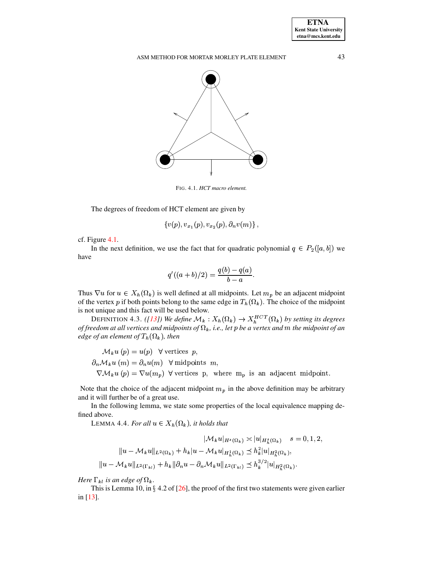

<span id="page-9-0"></span>FIG. 4.1. HCT macro element.

The degrees of freedom of HCT element are given by

$$
\{v(p),v_{x_1}(p),v_{x_2}(p),\partial_nv(m)\}
$$

 $cf.$  Figure 4.1.

In the next definition, we use the fact that for quadratic polynomial  $q \in P_2([a, b])$  we have

$$
q'((a+b)/2) = \frac{q(b) - q(a)}{b - a}.
$$

Thus  $\nabla u$  for  $u \in X_h(\Omega_k)$  is well defined at all midpoints. Let  $m_p$  be an adjacent midpoint of the vertex p if both points belong to the same edge in  $T_h(\Omega_k)$ . The choice of the midpoint is not unique and this fact will be used below.

<span id="page-9-1"></span>DEFINITION 4.3. ([13]) We define  $\mathcal{M}_k : X_h(\Omega_k) \to X_h^{HCT}(\Omega_k)$  by setting its degrees of freedom at all vertices and midpoints of  $\Omega_k$ , i.e., let p be a vertex and m the midpoint of an edge of an element of  $T_h(\Omega_k)$ , then

$$
\mathcal{M}_k u(p) = u(p) \quad \forall \text{ vertices } p,
$$
\n
$$
\partial_n \mathcal{M}_k u(m) = \partial_n u(m) \quad \forall \text{ midpoints } m,
$$
\n
$$
\nabla \mathcal{M}_k u(p) = \nabla u(m_p) \quad \forall \text{ vertices } p, \text{ where } m_p \text{ is an adjacent midpoint.}
$$

Note that the choice of the adjacent midpoint  $m_p$  in the above definition may be arbitrary and it will further be of a great use.

<span id="page-9-2"></span>In the following lemma, we state some properties of the local equivalence mapping defined above.

LEMMA 4.4. For all  $u \in X_h(\Omega_k)$ , it holds that

$$
|\mathcal{M}_{k}u|_{H^{s}(\Omega_{k})} \times |u|_{H^{s}_{h}(\Omega_{k})} \quad s = 0, 1, 2,
$$
  

$$
||u - \mathcal{M}_{k}u||_{L^{2}(\Omega_{k})} + h_{k}|u - \mathcal{M}_{k}u|_{H^{1}_{h}(\Omega_{k})} \leq h_{k}^{2}|u|_{H^{2}_{h}(\Omega_{k})},
$$
  

$$
||u - \mathcal{M}_{k}u||_{L^{2}(\Gamma_{k}u)} + h_{k}||\partial_{n}u - \partial_{n}\mathcal{M}_{k}u||_{L^{2}(\Gamma_{k}u)} \leq h_{k}^{3/2}|u|_{H^{2}_{h}(\Omega_{k})}.
$$

Here  $\Gamma_{kl}$  is an edge of  $\Omega_k$ .

This is Lemma 10, in  $\S$  4.2 of [26], the proof of the first two statements were given earlier in  $[13]$ .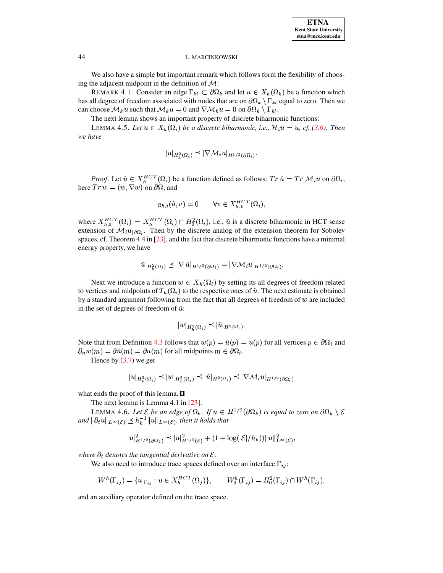We also have a simple but important remark which follows form the flexibility of choosing the adjacent midpoint in the definition of  $\mathcal{M}$ :

REMARK 4.1. Consider an edge  $\Gamma_{kl} \subset \partial \Omega_k$  and let  $u \in X_h(\Omega_k)$  be a function which has all degree of freedom associated with nodes that are on  $\partial\Omega_k \setminus \Gamma_{kl}$  equal to zero. Then we can choose  $\mathcal{M}_k u$  such that  $\mathcal{M}_k u = 0$  and  $\nabla \mathcal{M}_k u = 0$  on  $\partial \Omega_k \setminus \Gamma_{k l}$ .

The next lemma shows an important property of discrete biharmonic functions:

LEMMA 4.5. Let  $u \in X_h(\Omega_i)$  be a discrete biharmonic, i.e.,  $\mathcal{H}_i u = u$ , cf. (3.6). Then we have

<span id="page-10-2"></span><span id="page-10-1"></span>
$$
|u|_{H_h^2(\Omega_i)} \preceq |\nabla \mathcal{M}_i u|_{H^{1/2}(\partial \Omega_i)}
$$

*Proof.* Let  $\hat{u} \in X_h^{HCT}(\Omega_i)$  be a function defined as follows:  $Tr \hat{u} = Tr \mathcal{M}_i u$  on  $\partial \Omega_i$ , here  $Tr w = (w, \nabla w)$  on  $\partial \Omega$ , and

$$
a_{h,i}(\hat{u},v) = 0 \qquad \forall v \in X_{h,0}^{HCT}(\Omega_i),
$$

where  $X_{h,0}^{HCT}(\Omega_i) = X_h^{HCT}(\Omega_i) \cap H_0^2(\Omega_i)$ , i.e.,  $\hat{u}$  is a discrete biharmonic in HCT sense extension of  $\mathcal{M}_i u_{|\partial \Omega_i}$ . Then by the discrete analog of the extension theorem for Sobolev spaces, cf. Theorem 4.4 in  $[23]$ , and the fact that discrete biharmonic functions have a minimal energy property, we have

$$
\hat{u}|_{H_h^2(\Omega_i)} \preceq |\nabla \,\hat{u}|_{H^{1/2}(\partial \Omega_i)} = |\nabla \mathcal{M}_i u|_{H^{1/2}(\partial \Omega_i)}.
$$

Next we introduce a function  $w \in X_h(\Omega_i)$  by setting its all degrees of freedom related to vertices and midpoints of  $T_h(\Omega_i)$  to the respective ones of  $\hat{u}$ . The next estimate is obtained by a standard argument following from the fact that all degrees of freedom of  $w$  are included in the set of degrees of freedom of  $\hat{u}$ :

$$
|w|_{H^2_{\kappa}(\Omega_i)} \preceq |\hat{u}|_{H^2(\Omega_i)}.
$$

Note that from Definition 4.3 follows that  $w(p) = \hat{u}(p) = u(p)$  for all vertices  $p \in \partial \Omega_i$  and  $\partial_n w(m) = \partial \hat{u}(m) = \partial u(m)$  for all midpoints  $m \in \partial \Omega_i$ .

Hence by  $(3.7)$  we get

<span id="page-10-3"></span>
$$
|u|_{H_h^2(\Omega_i)} \preceq |w|_{H_h^2(\Omega_i)} \preceq |\hat{u}|_{H^2(\Omega_i)} \preceq |\nabla \mathcal{M}_i u|_{H^{1/2}(\partial \Omega_i)}
$$

what ends the proof of this lemma.  $\square$ 

The next lemma is Lemma 4.1 in  $[23]$ .

LEMMA 4.6. Let  $\mathcal E$  be an edge of  $\Omega_k$ . If  $u \in H^{1/2}(\partial \Omega_k)$  is equal to zero on  $\partial \Omega_k \setminus \mathcal E$ and  $\|\partial_t u\|_{L^{\infty}(\mathcal{E})} \preceq h_k^{-1} \|u\|_{L^{\infty}(\mathcal{E})}$ , then it holds that

<span id="page-10-0"></span>
$$
|u|_{H^{1/2}(\partial\Omega_k)}^2 \preceq |u|_{H^{1/2}(\mathcal{E})}^2 + (1 + \log(|\mathcal{E}|/h_k))||u||_{L^{\infty}(\mathcal{E})}^2.
$$

where  $\partial_t$  denotes the tangential derivative on  $\mathcal{E}$ .

We also need to introduce trace spaces defined over an interface  $\Gamma_{ij}$ :

$$
W^{h}(\Gamma_{ij}) = \{ u_{|\Gamma_{ij}} : u \in X_{h}^{HCT}(\Omega_{j}) \}, \qquad W_{0}^{h}(\Gamma_{ij}) = H_{0}^{2}(\Gamma_{ij}) \cap W^{h}(\Gamma_{ij}),
$$

and an auxiliary operator defined on the trace space.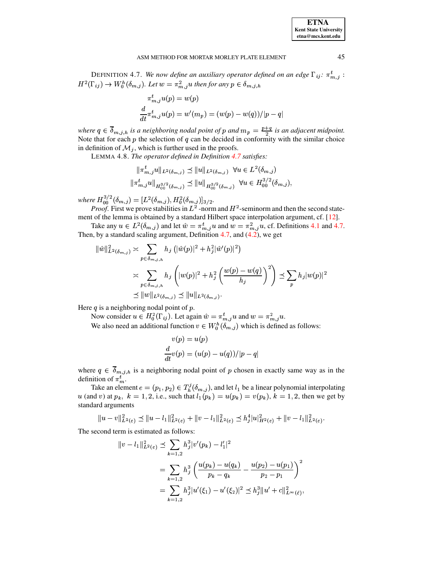DEFINITION 4.7. We now define an auxiliary operator defined on an edge  $\Gamma_{ij}$ :  $\pi_{m,j}^t$ :  $H^2(\Gamma_{ij}) \to W_0^h(\delta_{m,j})$ . Let  $w = \pi_{m,j}^2 u$  then for any  $p \in \delta_{m,j,h}$ 

$$
\pi_{m,j}^t u(p) = w(p)
$$
  

$$
\frac{d}{dt} \pi_{m,j}^t u(p) = w'(m_p) = (w(p) - w(q))/|p - q|
$$

<span id="page-11-0"></span>where  $q \in \overline{\delta}_{m,j,h}$  is a neighboring nodal point of p and  $m_p = \frac{p+q}{2}$  is an adjacent midpoint. Note that for each  $p$  the selection of  $q$  can be decided in conformity with the similar choice in definition of  $\mathcal{M}_i$ , which is further used in the proofs.

LEMMA 4.8. The operator defined in Definition 4.7 satisfies:

$$
\|\pi_{m,j}^{t}u\|_{L^{2}(\delta_{m,j})} \preceq \|u\|_{L^{2}(\delta_{m,j})} \quad \forall u \in L^{2}(\delta_{m,j})
$$
  

$$
|\pi_{m,j}^{t}u\|_{H_{00}^{3/2}(\delta_{m,j})} \preceq \|u\|_{H_{00}^{3/2}(\delta_{m,j})} \quad \forall u \in H_{00}^{3/2}(\delta_{m,j}),
$$

where  $H_{00}^{3/2}(\delta_{m,j}) = [L^2(\delta_{m,j}), H_0^2(\delta_{m,j})]_{3/2}$ .<br>*Proof.* First we prove stabilities in  $L^2$ -norm and  $H^2$ -seminorm and then the second statement of the lemma is obtained by a standard Hilbert space interpolation argument, cf. [12].

Take any  $u \in L^2(\delta_{m,j})$  and let  $\hat{w} = \pi^t_{m,j} u$  and  $w = \pi^2_{m,j} u$ , cf. Definitions 4.1 and 4.7. Then, by a standard scaling argument, Definition 4.7, and  $(4.2)$ , we get

$$
\begin{split} \|\hat{w}\|_{L^{2}(\delta_{m,j})}^{2} &\approx \sum_{p\in\delta_{m,j,h}} h_{j} \left( |\hat{w}(p)|^{2} + h_{j}^{2} |\hat{w}'(p)|^{2} \right) \\ &\approx \sum_{p\in\delta_{m,j,h}} h_{j} \left( |w(p)|^{2} + h_{j}^{2} \left( \frac{w(p) - w(q)}{h_{j}} \right)^{2} \right) \preceq \sum_{p} h_{j} |w(p)|^{2} \\ &\leq \|w\|_{L^{2}(\delta_{m,j})} \preceq \|u\|_{L^{2}(\delta_{m,j})}. \end{split}
$$

Here  $q$  is a neighboring nodal point of  $p$ .

Now consider  $u \in H_0^2(\Gamma_{ij})$ . Let again  $\hat{w} = \pi_{m,j}^t u$  and  $w = \pi_{m,j}^2 u$ . We also need an additional function  $v \in W_0^h(\delta_{m,j})$  which is defined as follows:

$$
v(p) = u(p)
$$
  

$$
\frac{d}{dt}v(p) = (u(p) - u(q))/|p - q|
$$

where  $q \in \overline{\delta}_{m,j,h}$  is a neighboring nodal point of p chosen in exactly same way as in the definition of  $\pi_m^t$ .

Take an element  $e = (p_1, p_2) \in T_h^j(\delta_{m,j})$ , and let  $l_1$  be a linear polynomial interpolating u (and v) at  $p_k$ ,  $k = 1, 2$ , i.e., such that  $l_1(p_k) = u(p_k) = v(p_k)$ ,  $k = 1, 2$ , then we get by standard arguments

$$
||u - v||_{L^{2}(e)}^{2} \le ||u - l_{1}||_{L^{2}(e)}^{2} + ||v - l_{1}||_{L^{2}(e)}^{2} \le h_{j}^{4}|u|_{H^{2}(e)}^{2} + ||v - l_{1}||_{L^{2}(e)}^{2}.
$$

The second term is estimated as follows:

$$
|v - l_1||_{L^2(e)}^2 \le \sum_{k=1,2} h_j^3 |v'(p_k) - l'_1|^2
$$
  
= 
$$
\sum_{k=1,2} h_j^3 \left( \frac{u(p_k) - u(q_k)}{p_k - q_k} - \frac{u(p_2) - u(p_1)}{p_2 - p_1} \right)^2
$$
  
= 
$$
\sum_{k=1,2} h_j^3 |u'(\xi_1) - u'(\xi_2)|^2 \le h_j^3 \|u' + c\|_{L^\infty(\hat{e})}^2,
$$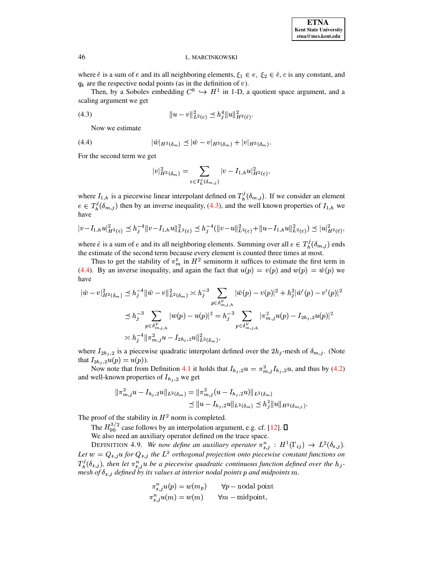where  $\hat{e}$  is a sum of  $e$  and its all neighboring elements,  $\xi_1 \in e$ ,  $\xi_2 \in \hat{e}$ ,  $c$  is any constant, and  $q_k$  are the respective nodal points (as in the definition of  $v$ ).

Then, by a Sobolev embedding  $C^0 \hookrightarrow H^1$  in 1-D, a quotient space argument, and a scaling argument we get

(4.3) 
$$
||u - v||_{L^{2}(e)}^{2} \preceq h_{j}^{4}||u||_{H^{2}(\hat{e})}^{2}.
$$

<span id="page-12-1"></span><span id="page-12-0"></span>Now we estimate

(4.4) 
$$
|\hat{w}|_{H^2(\delta_m)} \leq |\hat{w} - v|_{H^2(\delta_m)} + |v|_{H^2(\delta_m)}.
$$

For the second term we get

$$
|v|_{H^2(\delta_m)}^2=\sum_{e\in T_h^j(\delta_{m,j})}|v-I_{1,h}u|_{H^2(e)}^2,
$$

where  $I_{1,h}$  is a piecewise linear interpolant defined on  $T_h^{\jmath}(\delta_{m,j})$ . If we  $(\delta_{m,j})$ . If we consider an element  $e \in T_h^j(\delta_{m,j})$  then by  $(\delta_{m,j})$  then by an inverse inequality, [\(4.3\)](#page-12-0), and the well known properties of  $I_{1,h}$  we have

$$
|v-I_{1,h}u|_{H^2(e)}^2 \leq h_j^{-4}||v-I_{1,h}u||_{L^2(e)}^2 \leq h_j^{-4}(||v-u||_{L^2(e)}^2 + ||u-I_{1,h}u||_{L^2(e)}^2) \leq |u|_{H^2(e)}^2,
$$

where  $\hat{e}$  is a sum of e and its all neighboring elements. Summing over all  $e \in T_h^1(\delta_{m,j})$  ends  $(\delta_{m,j})$  ends the estimate of the second term because every element is counted three times at most.

Thus to get the stability of  $\pi_m^t$  in  $H^2$  seminorm it suffices to estimate the first term in [\(4.4\)](#page-12-1). By an inverse inequality, and again the fact that  $u(p) = v(p)$  and  $w(p) = \hat{w}(p)$  we have

$$
\begin{split} |\hat{w} - v|_{H^2(\delta_m)}^2 &\le h_j^{-4} \|\hat{w} - v\|_{L^2(\delta_m)}^2 \asymp h_j^{-3} \sum_{p \in \delta_{m,j,h}^V} |\hat{w}(p) - v(p)|^2 + h_j^2 |\hat{w}'(p) - v'(p)|^2 \\ &\le h_j^{-3} \sum_{p \in \delta_{m,j,h}^V} |w(p) - u(p)|^2 = h_j^{-3} \sum_{p \in \delta_{m,j,h}^V} |\pi_{m,j}^2 u(p) - I_{2h_j,2} u(p)|^2 \\ &\asymp h_j^{-4} \|\pi_{m,j}^2 u - I_{2h_j,2} u\|_{L^2(\delta_m)}^2, \end{split}
$$

where  $I_{2h_j,2}$  is a piecewise quadratic interpolant defined over the  $2h_j$ -mesh of  $\delta_{m,j}$ . (Note that  $I_{2h_j,2}u(p) = u(p)$ ).

Now note that from Definition [4.1](#page-8-2) it holds that  $I_{h_j,2}u = \pi_{m,j}^2 I_{h_j,2}u$ , and thus by [\(4.2\)](#page-8-3) and well-known properties of  $I_{h_i, 2}$  we get

$$
\begin{aligned} \|\pi_{m,j}^2 u - I_{h_j,2} u\|_{L^2(\delta_m)} &= \|\pi_{m,j}^2 (u - I_{h_j,2} u)\|_{L^2(\delta_m)} \\ &\le \|u - I_{h_j,2} u\|_{L^2(\delta_m)} \le h_j^2 \|u\|_{H^2(\delta_m,j)}. \end{aligned}
$$

The proof of the stability in  $H^2$  norm is completed.

The  $H_{00}^{3/2}$  case follows by an interpolation argument, e.g. cf. [\[12\]](#page-20-18).

We also need an auxiliary operator defined on the trace space.

DEFINITION 4.9. *We now define an auxiliary operator*  $\pi_{s,i}^n : H^1(\Gamma_{ij}) \to L^2(\delta_{s,j}).$ Let  $w = Q_{s,i}$  *u* for  $Q_{s,i}$  the  $L^2$  orthogonal projection onto piecewise constant functions on  $T_h^j(\delta_{s,j})$ , then le  $(\delta_{s,j})$ , then let  $\pi_{s,j}^n u$  be a piecewise quadratic continuous function defined over the  $h_j$ *mesh* of  $\delta_{s,j}$  *defined by its values at interior nodal points p and midpoints m.* 

<span id="page-12-2"></span>
$$
\begin{array}{ll} \pi_{s,j}^n u(p) = w(m_p) & \quad \forall p-\text{nodal point} \\ \pi_{s,j}^n u(m) = w(m) & \quad \forall m-\text{midpoint}, \end{array}
$$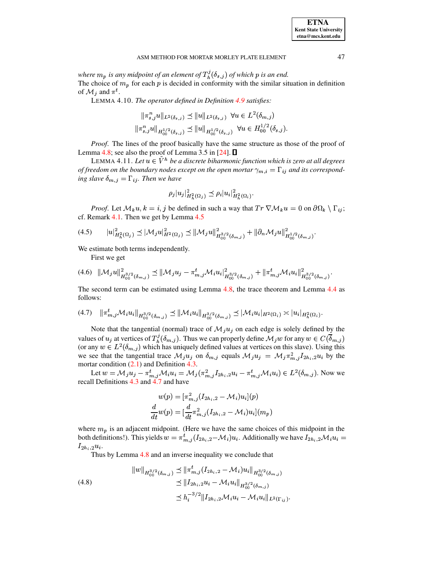<span id="page-13-4"></span>where  $m_p$  is any midpoint of an element of  $T_h^{\jmath}(\delta_{s,j})$  of which p is an end. The choice of  $m_p$  for each  $p$  is decided in conformity with the similar situation in definition of  $\mathcal{M}_i$  and  $\pi^t$ .

LEMMA 4.10. The operator defined in Definition 4.9 satisfies:

$$
\begin{aligned} \| \pi_{s,j}^n u \|_{L^2(\delta_{s,j})} &\le \| u \|_{L^2(\delta_{s,j})} \ \forall u \in L^2(\delta_{m,j}) \\ \| \pi_{s,j}^n u \|_{H_{00}^{1/2}(\delta_{s,j})} &\le \| u \|_{H_{00}^{1/2}(\delta_{s,j})} \ \forall u \in H_{00}^{1/2}(\delta_{s,j}). \end{aligned}
$$

*Proof.* The lines of the proof basically have the same structure as those of the proof of Lemma 4.8; see also the proof of Lemma 3.5 in [24].  $\Box$ 

<span id="page-13-5"></span>LEMMA 4.11. Let  $u \in \tilde{V}^h$  be a discrete biharmonic function which is zero at all degrees of freedom on the boundary nodes except on the open mortar  $\gamma_{m,i} = \Gamma_{ij}$  and its corresponding slave  $\delta_{m,j} = \Gamma_{ij}$ . Then we have

$$
\rho_j|u_j|_{H_h^2(\Omega_j)}^2 \preceq \rho_i|u_i|_{H_h^2(\Omega_i)}^2.
$$

*Proof.* Let  $M_k u, k = i, j$  be defined in such a way that  $Tr \nabla M_k u = 0$  on  $\partial \Omega_k \setminus \Gamma_{ij}$ ; cf. Remark 4.1. Then we get by Lemma 4.5

<span id="page-13-3"></span>
$$
(4.5) \t\t |u|_{H_h^2(\Omega_j)}^2 \preceq |\mathcal{M}_j u|_{H^2(\Omega_j)}^2 \preceq |\mathcal{M}_j u|_{H_0^{\delta/2}(\delta_{m,j})}^2 + |\partial_n \mathcal{M}_j u|_{H_0^{\delta/2}(\delta_{m,j})}^2.
$$

We estimate both terms independently.

First we get

<span id="page-13-0"></span>
$$
(4.6) \|\mathcal{M}_j u\|_{H_{00}^{3/2}(\delta_{m,j})}^2 \leq \|\mathcal{M}_j u_j - \pi_{m,j}^t \mathcal{M}_i u_i\|_{H_{00}^{3/2}(\delta_{m,j})}^2 + \|\pi_{m,j}^t \mathcal{M}_i u_i\|_{H_{00}^{3/2}(\delta_{m,j})}^2
$$

The second term can be estimated using Lemma 4.8, the trace theorem and Lemma 4.4 as follows:

<span id="page-13-1"></span>
$$
(4.7) \quad \|\pi_{m,j}^t \mathcal{M}_i u_i\|_{H^{3/2}_{00}(\delta_{m,j})} \preceq \|\mathcal{M}_i u_i\|_{H^{3/2}_{00}(\delta_{m,j})} \preceq |\mathcal{M}_i u_i|_{H^2(\Omega_i)} \asymp |u_i|_{H^2_h(\Omega_i)}.
$$

Note that the tangential (normal) trace of  $\mathcal{M}_i u_i$  on each edge is solely defined by the values of  $u_j$  at vertices of  $T_h^j(\delta_{m,j})$ . Thus we can properly define  $\mathcal{M}_j w$  for any  $w \in C(\overline{\delta}_{m,j})$ (or any  $w \in L^2(\delta_{m,j})$  which has uniquely defined values at vertices on this slave). Using this we see that the tangential trace  $\mathcal{M}_j u_j$  on  $\delta_{m,j}$  equals  $\mathcal{M}_j u_j = \mathcal{M}_j \pi_{m,j}^2 I_{2h_i,2} u_i$  by the mortar condition  $(2.1)$  and Definition 4.3.

Let  $w = \mathcal{M}_j u_j - \pi^t_{m,j} \mathcal{M}_i u_i = \mathcal{M}_j(\pi^2_{m,j} I_{2h_i,2} u_i - \pi^t_{m,j} \mathcal{M}_i u_i) \in L^2(\delta_{m,j}).$  Now we recall Definitions 4.3 and 4.7 and have

$$
w(p) = [\pi_{m,j}^2 (I_{2h_i,2} - M_i)u_i](p)
$$
  

$$
\frac{d}{dt}w(p) = [\frac{d}{dt}\pi_{m,j}^2 (I_{2h_i,2} - M_i)u_i](m_p)
$$

where  $m_p$  is an adjacent midpoint. (Here we have the same choices of this midpoint in the both definitions!). This yields  $w = \pi_{m,j}^t (I_{2h_i,2} - M_i) u_i$ . Additionally we have  $I_{2h_i,2} M_i u_i =$  $I_{2h_i,2}u_i.$ 

Thus by Lemma 4.8 and an inverse inequality we conclude that

<span id="page-13-2"></span>
$$
\|w\|_{H_0^{3/2}(\delta_{m,j})} \le \|\pi_{m,j}^t(I_{2h_i,2} - \mathcal{M}_i)u_i\|_{H_0^{3/2}(\delta_{m,j})}
$$
  
\n
$$
\le \|I_{2h_i,2}u_i - \mathcal{M}_i u_i\|_{H_0^{3/2}(\delta_{m,j})}
$$
  
\n
$$
\le h_i^{-3/2} \|I_{2h_i,2} \mathcal{M}_i u_i - \mathcal{M}_i u_i\|_{L^2(\Gamma_{ij})}
$$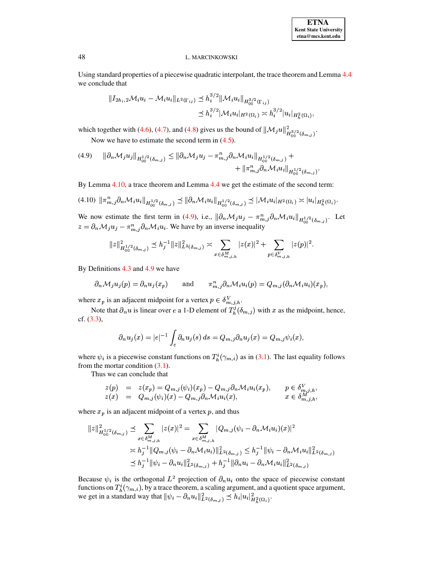## **ETNA Kent State University**  $etna@mcs. kent.edu$

#### L. MARCINKOWSKI

Using standard properties of a piecewise quadratic interpolant, the trace theorem and Lemma 4.4 we conclude that

$$
\|I_{2h_i,2}\mathcal{M}_i u_i - \mathcal{M}_i u_i\|_{L^2(\Gamma_{ij})} \preceq h_i^{3/2} \|\mathcal{M}_i u_i\|_{H_{00}^{3/2}(\Gamma_{ij})}
$$
  

$$
\preceq h_i^{3/2} |\mathcal{M}_i u_i|_{H^2(\Omega_i)} \asymp h_i^{3/2} |u_i|_{H_h^2(\Omega_i)},
$$

which together with (4.6), (4.7), and (4.8) gives us the bound of  $\|\mathcal{M}_j u\|_{H_{00}^{3/2}(\delta_{m,j})}^2$ .

Now we have to estimate the second term in  $(4.5)$ .

<span id="page-14-0"></span>
$$
(4.9) \qquad \|\partial_n \mathcal{M}_j u_j\|_{H_{00}^{1/2}(\delta_{m,j})} \le \|\partial_n \mathcal{M}_j u_j - \pi_{m,j}^n \partial_n \mathcal{M}_i u_i\|_{H_{00}^{1/2}(\delta_{m,j})} + + \|\pi_{m,j}^n \partial_n \mathcal{M}_i u_i\|_{H_{00}^{1/2}(\delta_{m,j})}
$$

By Lemma  $4.10$ , a trace theorem and Lemma  $4.4$  we get the estimate of the second term:

<span id="page-14-1"></span>
$$
(4.10) \|\pi_{m,j}^n \partial_n \mathcal{M}_i u_i\|_{H_{00}^{1/2}(\delta_{m,j})} \preceq \|\partial_n \mathcal{M}_i u_i\|_{H_{00}^{1/2}(\delta_{m,j})} \preceq |\mathcal{M}_i u_i|_{H^2(\Omega_i)} \asymp |u_i|_{H^2_h(\Omega_i)}.
$$

We now estimate the first term in (4.9), i.e.,  $\|\partial_n \mathcal{M}_j u_j - \pi_{m,j}^n \partial_n \mathcal{M}_i u_i\|_{H_{00}^{1/2}(\delta_{m,j})}$ . Let  $z = \partial_n \mathcal{M}_j u_j - \pi_{m,j}^n \partial_n \mathcal{M}_i u_i$ . We have by an inverse inequality

$$
||z||_{H_{00}^{1/2}(\delta_{m,j})}^2 \leq h_j^{-1} ||z||_{L^2(\delta_{m,j})}^2 \asymp \sum_{x \in \delta_{m,j,h}^M} |z(x)|^2 + \sum_{p \in \delta_{m,j,h}^V} |z(p)|^2.
$$

By Definitions  $4.3$  and  $4.9$  we have

$$
\partial_n \mathcal{M}_j u_j(p) = \partial_n u_j(x_p)
$$
 and  $\pi_{m,j}^n \partial_n \mathcal{M}_i u_i(p) = Q_{m,j} (\partial_n \mathcal{M}_i u_i)(x_p),$ 

where  $x_p$  is an adjacent midpoint for a vertex  $p \in \delta_{m,j,h}^V$ .

Note that  $\partial_n u$  is linear over e a 1-D element of  $T_h^j(\delta_{m,j})$  with x as the midpoint, hence, cf.  $(3.3)$ ,

$$
\partial_n u_j(x) = |e|^{-1} \int_e \partial_n u_j(s) \, ds = Q_{m,j} \partial_n u_j(x) = Q_{m,j} \psi_i(x),
$$

where  $\psi_i$  is a piecewise constant functions on  $T_h^i(\gamma_{m,i})$  as in (3.1). The last equality follows from the mortar condition  $(3.1)$ .

Thus we can conclude that

$$
\begin{array}{rcl}\nz(p) & = & z(x_p) = Q_{m,j}(\psi_i)(x_p) - Q_{m,j}\partial_n \mathcal{M}_i u_i(x_p), \\
z(x) & = & Q_{m,j}(\psi_i)(x) - Q_{m,j}\partial_n \mathcal{M}_i u_i(x), \\
x \in \delta_{m,j,h}^M,\n\end{array}
$$

where  $x_p$  is an adjacent midpoint of a vertex  $p$ , and thus

$$
||z||_{H_{00}^{1/2}(\delta_{m,j})}^2 \preceq \sum_{x \in \delta_{m,j,h}^M} |z(x)|^2 = \sum_{x \in \delta_{m,j,h}^M} |Q_{m,j}(\psi_i - \partial_n \mathcal{M}_i u_i)(x)|^2
$$
  

$$
\asymp h_j^{-1} ||Q_{m,j}(\psi_i - \partial_n \mathcal{M}_i u_i)||_{L^2(\delta_{m,j})}^2 \leq h_j^{-1} ||\psi_i - \partial_n \mathcal{M}_i u_i||_{L^2(\delta_{m,j})}^2
$$
  

$$
\preceq h_j^{-1} ||\psi_i - \partial_n u_i||_{L^2(\delta_{m,j})}^2 + h_j^{-1} ||\partial_n u_i - \partial_n \mathcal{M}_i u_i||_{L^2(\delta_{m,j})}^2
$$

Because  $\psi_i$  is the orthogonal  $L^2$  projection of  $\partial_n u_i$  onto the space of piecewise constant functions on  $T_h^i(\gamma_{m,i})$ , by a trace theorem, a scaling argument, and a quotient space argument, we get in a standard way that  $\|\psi_i - \partial_n u_i\|_{L^2(\delta_{m,j})}^2 \preceq h_i|u_i|_{H_h^2(\Omega_i)}^2$ .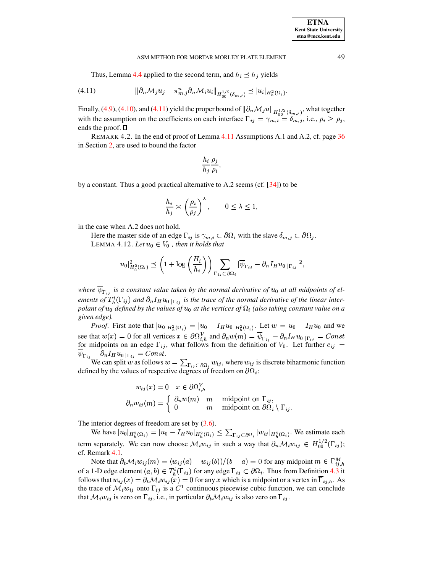Thus, Lemma 4.4 applied to the second term, and  $h_i \leq h_j$  yields

<span id="page-15-1"></span>
$$
(4.11) \t\t ||\partial_n \mathcal{M}_j u_j - \pi_{m,j}^n \partial_n \mathcal{M}_i u_i||_{H_{00}^{1/2}(\delta_{m,j})} \preceq |u_i|_{H_h^2(\Omega_i)}
$$

Finally, (4.9), (4.10), and (4.11) yield the proper bound of  $\|\partial_n \mathcal{M}_j u\|_{H^{1/2}(\delta_{m,j})}$ , what together with the assumption on the coefficients on each interface  $\Gamma_{ij} = \gamma_{m,i} = \delta_{m,j}$ , i.e.,  $\rho_i \ge \rho_j$ , ends the proof.  $\square$ 

<span id="page-15-0"></span>REMARK 4.2. In the end of proof of Lemma 4.11 Assumptions A.1 and A.2, cf. page 36 in Section 2, are used to bound the factor

$$
\frac{h_i}{h_j} \frac{\rho_j}{\rho_i},
$$

by a constant. Thus a good practical alternative to A.2 seems (cf.  $[34]$ ) to be

$$
\frac{h_i}{h_j} \asymp \left(\frac{\rho_i}{\rho_j}\right)^\lambda, \qquad 0 \le \lambda \le 1,
$$

<span id="page-15-2"></span>in the case when A.2 does not hold.

Here the master side of an edge  $\Gamma_{ij}$  is  $\gamma_{m,i} \subset \partial \Omega_i$  with the slave  $\delta_{m,j} \subset \partial \Omega_j$ . LEMMA 4.12. Let  $u_0 \in V_0$ , then it holds that

$$
|u_0|_{H_h^2(\Omega_i)}^2 \preceq \left(1 + \log\left(\frac{H_i}{h_i}\right)\right) \sum_{\Gamma_{ij} \subset \partial\Omega_i} |\overline{\psi}_{\Gamma_{ij}} - \partial_n I_H u_0|_{\Gamma_{ij}}|^2,
$$

where  $\overline{\psi}_{\Gamma_{ij}}$  is a constant value taken by the normal derivative of  $u_0$  at all midpoints of elements of  $T^i_h(\Gamma_{ij})$  and  $\partial_n I_H u_{0|\Gamma_{ij}}$  is the trace of the normal derivative of the linear interpolant of  $u_0$  defined by the values of  $u_0$  at the vertices of  $\Omega_i$  (also taking constant value on a given edge).

*Proof.* First note that  $|u_0|_{H_h^2(\Omega_i)} = |u_0 - I_H u_0|_{H_h^2(\Omega_i)}$ . Let  $w = u_0 - I_H u_0$  and we see that  $w(x) = 0$  for all vertices  $x \in \partial \Omega_{i,h}^V$  and  $\partial_n w(m) = \overline{\psi}_{\Gamma_{ij}} - \partial_n I_H u_{0 \mid \Gamma_{ij}} = Const$  for midpoints on an edge  $\Gamma_{ij}$ , what follows from the definition of  $V_0$ . Let further  $c_{ij}$  =

 $\overline{\psi}_{\Gamma_{ij}} - \partial_n I_H u_0 |_{\Gamma_{ij}} = Const.$ <br>We can split w as follows  $w = \sum_{\Gamma_{ij} \subset \partial \Omega_i} w_{ij}$ , where  $w_{ij}$  is discrete biharmonic function defined by the values of respective degrees of freedom on  $\partial\Omega_i$ :

$$
w_{ij}(x) = 0 \quad x \in \partial \Omega_{i,h}^V
$$

$$
\partial_n w_{ij}(m) = \begin{cases} \partial_n w(m) & m \quad \text{midpoint on } \Gamma_{ij}, \\ 0 & m \quad \text{midpoint on } \partial \Omega_i \setminus \Gamma_{ij}.\end{cases}
$$

The interior degrees of freedom are set by  $(3.6)$ .

We have  $|u_0|_{H_h^2(\Omega_i)} = |u_0 - I_H u_0|_{H_h^2(\Omega_i)} \leq \sum_{\Gamma_{ij} \subset \partial \Omega_i} |w_{ij}|_{H_h^2(\Omega_i)}$ . We estimate each term separately. We can now choose  $\mathcal{M}_i w_{ij}$  in such a way that  $\partial_n \mathcal{M}_i w_{ij} \in H_{00}^{1/2}(\Gamma_{ij});$ cf. Remark 4.1.

Note that  $\partial_t \mathcal{M}_i w_{ij}(m) = (w_{ij}(a) - w_{ij}(b))/(b-a) = 0$  for any midpoint  $m \in \Gamma_{i,j,h}^M$ of a 1-D edge element  $(a, b) \in T_h^i(\Gamma_{ij})$  for any edge  $\Gamma_{ij} \subset \partial \Omega_i$ . Thus from Definition 4.3 it follows that  $w_{ij}(x) = \partial_t \mathcal{M}_i w_{ij}(x) = 0$  for any x which is a midpoint or a vertex in  $\Gamma_{ij,h}$ . As the trace of  $\mathcal{M}_i w_{ij}$  onto  $\Gamma_{ij}$  is a  $C^1$  continuous piecewise cubic function, we can conclude that  $\mathcal{M}_i w_{ij}$  is zero on  $\Gamma_{ij}$ , i.e., in particular  $\partial_t \mathcal{M}_i w_{ij}$  is also zero on  $\Gamma_{ij}$ .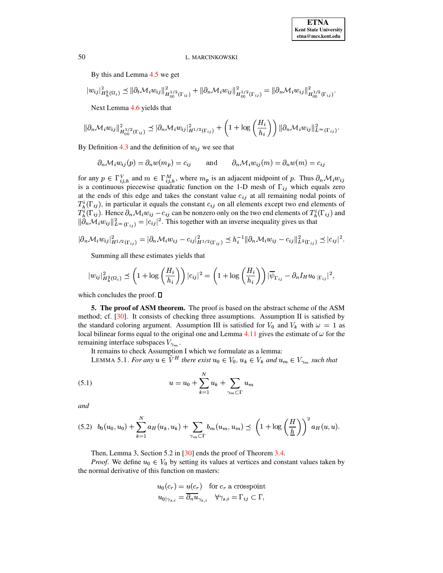By this and Lemma 4.5 we get

$$
|w_{ij}|_{H_h^2(\Omega_i)}^2 \leq \|\partial_t \mathcal{M}_i w_{ij}\|_{H_{00}^{1/2}(\Gamma_{ij})}^2 + \|\partial_n \mathcal{M}_i w_{ij}\|_{H_{00}^{1/2}(\Gamma_{ij})}^2 = \|\partial_n \mathcal{M}_i w_{ij}\|_{H_{00}^{1/2}(\Gamma_{ij})}^2.
$$

Next Lemma 4.6 yields that

$$
\|\partial_n \mathcal{M}_i w_{ij}\|_{H^{1/2}_{00}(\Gamma_{ij})}^2 \preceq |\partial_n \mathcal{M}_i w_{ij}|_{H^{1/2}(\Gamma_{ij})}^2 + \left(1 + \log\left(\frac{H_i}{h_i}\right)\right) \|\partial_n \mathcal{M}_i w_{ij}\|_{L^\infty(\Gamma_{ij})}^2.
$$

By Definition 4.3 and the definition of  $w_{ij}$  we see that

$$
\partial_n \mathcal{M}_i w_{ij}(p) = \partial_n w(m_p) = c_{ij}
$$
 and  $\partial_n \mathcal{M}_i w_{ij}(m) = \partial_n w(m) = c_{ij}$ 

for any  $p \in \Gamma_{ij,h}^V$  and  $m \in \Gamma_{ij,h}^M$ , where  $m_p$  is an adjacent midpoint of p. Thus  $\partial_n \mathcal{M}_i w_{ij}$ is a continuous piecewise quadratic function on the 1-D mesh of  $\Gamma_{ij}$  which equals zero at the ends of this edge and takes the constant value  $c_{ij}$  at all remaining nodal points of  $T_h^i(\Gamma_{ij})$ , in particular it equals the constant  $c_{ij}$  on all elements except two end elements of  $T_h^i(\Gamma_{ij})$ . Hence  $\partial_n \mathcal{M}_i w_{ij} - c_{ij}$  can be nonzero only on the two end elements of  $T_h^i(\Gamma_{ij})$  and  $\|\partial_n \mathcal{M}_i w_{ij}\|_{L^\infty(\Gamma_{ij})}^2 = |c_{ij}|^2$ . This together with an inverse inequality gives us that

$$
|\partial_n \mathcal{M}_i w_{ij}|^2_{H^{1/2}(\Gamma_{ij})} = |\partial_n \mathcal{M}_i w_{ij} - c_{ij}|^2_{H^{1/2}(\Gamma_{ij})} \preceq h_i^{-1} ||\partial_n \mathcal{M}_i w_{ij} - c_{ij}||^2_{L^2(\Gamma_{ij})} \preceq |c_{ij}|^2.
$$

Summing all these estimates yields that

$$
|w_{ij}|_{H_h^2(\Omega_i)}^2 \preceq \left(1 + \log\left(\frac{H_i}{h_i}\right)\right)|c_{ij}|^2 = \left(1 + \log\left(\frac{H_i}{h_i}\right)\right)|\overline{\psi}_{\Gamma_{ij}} - \partial_n I_H u_{0} |_{\Gamma_{ij}}|^2,
$$

which concludes the proof.  $\square$ 

<span id="page-16-0"></span>5. The proof of ASM theorem. The proof is based on the abstract scheme of the ASM method; cf.  $[30]$ . It consists of checking three assumptions. Assumption II is satisfied by the standard coloring argument. Assumption III is satisfied for  $V_0$  and  $V_k$  with  $\omega = 1$  as local bilinear forms equal to the original one and Lemma 4.11 gives the estimate of  $\omega$  for the remaining interface subspaces  $V_{\gamma_m}$ .

<span id="page-16-1"></span>

It remains to check Assumption I which we formulate as a lemma:<br>LEMMA 5.1. For any  $u \in \tilde{V}^H$  there exist  $u_0 \in V_0$ ,  $u_k \in V_k$  and  $u_m \in V_{\gamma_m}$  such that

(5.1) 
$$
u = u_0 + \sum_{k=1}^{N} u_k + \sum_{\gamma_m \subset \Gamma} u_m
$$

and

<span id="page-16-2"></span>
$$
(5.2) \quad b_0(u_0, u_0) + \sum_{k=1}^N a_H(u_k, u_k) + \sum_{\gamma_m \subset \Gamma} b_m(u_m, u_m) \preceq \left(1 + \log\left(\frac{H}{\underline{h}}\right)\right)^2 a_H(u, u).
$$

Then, Lemma 3, Section 5.2 in [30] ends the proof of Theorem 3.4.

*Proof.* We define  $u_0 \,\in V_0$  by setting its values at vertices and constant values taken by the normal derivative of this function on masters:

$$
u_0(c_r) = u(c_r) \quad \text{for } c_r \text{ a crosspoint}
$$
  

$$
u_{0|\gamma_{s,i}} = \overline{\partial_n u_{\gamma_{s,i}}} \quad \forall \gamma_{s,i} = \Gamma_{ij} \subset \Gamma,
$$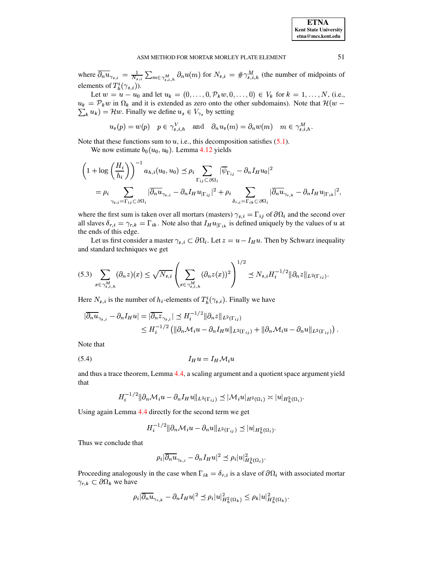where  $\overline{\partial_n u}_{\gamma_{s,i}} = \frac{1}{N_{s,i}} \sum_{m \in \gamma_{s,i,h}^M} \partial_n u(m)$  for  $N_{s,i} = \# \gamma_{s,i,h}^M$  (the number of midpoints of elements of  $T_h^i(\gamma_{s,i})$ ).

Let  $w = u - u_0$  and let  $u_k = (0, ..., 0, \mathcal{P}_k w, 0, ..., 0) \in V_k$  for  $k = 1, ..., N$ , (i.e.,  $u_k = \mathcal{P}_k w$  in  $\Omega_k$  and it is extended as zero onto the other subdomains). Note that  $\mathcal{H}(w \sum_k u_k$ ) =  $\mathcal{H}w$ . Finally we define  $u_s \in V_{\gamma_s}$  by setting

$$
u_s(p) = w(p)
$$
  $p \in \gamma_{s,i,h}^V$  and  $\partial_n u_s(m) = \partial_n w(m)$   $m \in \gamma_{s,i,h}^M$ .

Note that these functions sum to  $u$ , i.e., this decomposition satisfies  $(5.1)$ .

We now estimate  $b_0(u_0, u_0)$ . Lemma 4.12 yields

$$
\left(1 + \log\left(\frac{H_i}{h_i}\right)\right)^{-1} a_{h,i}(u_0, u_0) \preceq \rho_i \sum_{\Gamma_{ij} \subset \partial \Omega_i} |\overline{\psi}_{\Gamma_{ij}} - \partial_n I_H u_0|^2
$$
  
= 
$$
\rho_i \sum_{\gamma_{s,i} = \Gamma_{ij} \subset \partial \Omega_i} |\overline{\partial_n u}_{\gamma_{s,i}} - \partial_n I_H u_{|\Gamma_{ij}}|^2 + \rho_i \sum_{\delta_{r,i} = \Gamma_{ik} \subset \partial \Omega_i} |\overline{\partial_n u}_{\gamma_{r,k}} - \partial_n I_H u_{|\Gamma_{ik}}|^2,
$$

where the first sum is taken over all mortars (masters)  $\gamma_{s,i} = \Gamma_{ij}$  of  $\partial \Omega_i$  and the second over all slaves  $\delta_{r,i} = \gamma_{r,k} = \Gamma_{ik}$ . Note also that  $I_H u_{|\Gamma_{ik}|}$  is defined uniquely by the values of u at the ends of this edge.

Let us first consider a master  $\gamma_{s,i} \subset \partial \Omega_i$ . Let  $z = u - I_H u$ . Then by Schwarz inequality and standard techniques we get

<span id="page-17-1"></span>
$$
(5.3) \sum_{x \in \gamma_{s,i,h}^M} (\partial_n z)(x) \leq \sqrt{N_{s,i}} \left( \sum_{x \in \gamma_{s,i,h}^M} (\partial_n z(x))^2 \right)^{1/2} \preceq N_{s,i} H_i^{-1/2} ||\partial_n z||_{L^2(\Gamma_{ij})}.
$$

Here  $N_{s,i}$  is the number of  $h_i$ -elements of  $T_h^i(\gamma_{s,i})$ . Finally we have

$$
\begin{aligned} |\overline{\partial_n u}_{\gamma_{s,i}} - \partial_n I_H u| &= |\overline{\partial_n z}_{\gamma_{s,i}}| \preceq H_i^{-1/2} \|\partial_n z\|_{L^2(\Gamma_{ij})} \\ &\leq H_i^{-1/2} \left( \|\partial_n \mathcal{M}_i u - \partial_n I_H u\|_{L^2(\Gamma_{ij})} + \|\partial_n \mathcal{M}_i u - \partial_n u\|_{L^2(\Gamma_{ij})} \right). \end{aligned}
$$

Note that

$$
(5.4) \t I_H u = I_H \mathcal{M}_i u
$$

and thus a trace theorem, Lemma 4.4, a scaling argument and a quotient space argument yield that

<span id="page-17-0"></span>
$$
H_i^{-1/2} \|\partial_n \mathcal{M}_i u - \partial_n I_H u\|_{L^2(\Gamma_{ij})} \preceq |\mathcal{M}_i u|_{H^2(\Omega_i)} \asymp |u|_{H^2_h(\Omega_i)}.
$$

Using again Lemma 4.4 directly for the second term we get

$$
H_i^{-1/2} \|\partial_n \mathcal{M}_i u - \partial_n u\|_{L^2(\Gamma_{ij})} \preceq |u|_{H_h^2(\Omega_i)}.
$$

Thus we conclude that

$$
\rho_i|\overline{\partial_n u}_{\gamma_{s,i}}-\partial_n I_Hu|^2\preceq \rho_i|u|_{H_h^2(\Omega_i)}^2.
$$

Proceeding analogously in the case when  $\Gamma_{ik} = \delta_{r,i}$  is a slave of  $\partial \Omega_i$  with associated mortar  $\gamma_{r,k} \subset \partial \Omega_k$  we have

$$
\rho_i|\overline{\partial_n u}_{\gamma_{r,k}}-\partial_n I_H u|^2\preceq \rho_i|u|_{H_h^2(\Omega_k)}^2\leq \rho_k|u|_{H_h^2(\Omega_k)}^2.
$$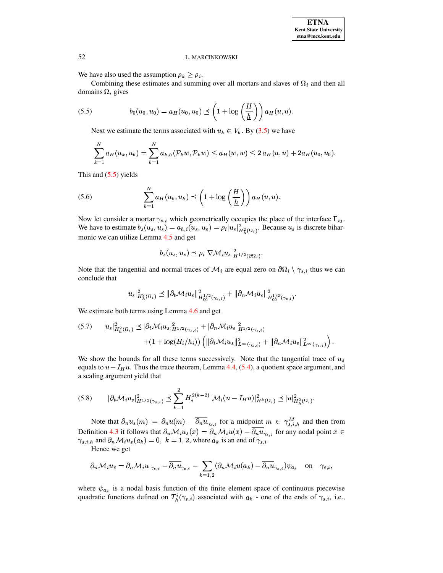We have also used the assumption  $\rho_k \ge \rho_i$ .

Combining these estimates and summing over all mortars and slaves of  $\Omega_i$  and then all domains  $\Omega_i$  gives

<span id="page-18-0"></span>(5.5) 
$$
b_0(u_0, u_0) = a_H(u_0, u_0) \preceq \left(1 + \log\left(\frac{H}{\underline{h}}\right)\right) a_H(u, u).
$$

Next we estimate the terms associated with  $u_k \in V_k$ . By (3.5) we have

$$
\sum_{k=1}^{N} a_H(u_k, u_k) = \sum_{k=1}^{N} a_{k,h}(\mathcal{P}_k w, \mathcal{P}_k w) \le a_H(w, w) \le 2 a_H(u, u) + 2 a_H(u_0, u_0).
$$

This and  $(5.5)$  yields

<span id="page-18-3"></span>(5.6) 
$$
\sum_{k=1}^{N} a_H(u_k, u_k) \preceq \left(1 + \log\left(\frac{H}{\underline{h}}\right)\right) a_H(u, u).
$$

Now let consider a mortar  $\gamma_{s,i}$  which geometrically occupies the place of the interface  $\Gamma_{ij}$ . We have to estimate  $b_s(u_s, u_s) = a_{h,i}(u_s, u_s) = \rho_i |u_s|^2_{H_h^2(\Omega_i)}$ . Because  $u_s$  is discrete biharmonic we can utilize Lemma 4.5 and get

$$
b_s(u_s, u_s) \preceq \rho_i |\nabla \mathcal{M}_i u_s|_{H^{1/2}(\partial \Omega_i)}^2
$$

Note that the tangential and normal traces of  $\mathcal{M}_i$  are equal zero on  $\partial\Omega_i \setminus \gamma_{s,i}$  thus we can conclude that

$$
|u_{s}|_{H_{h}^{2}(\Omega_{i})}^{2} \leq \|\partial_{t} \mathcal{M}_{i} u_{s}\|_{H_{0}^{1/2}(\gamma_{s},i)}^{2} + \|\partial_{n} \mathcal{M}_{i} u_{s}\|_{H_{0}^{1/2}(\gamma_{s},i)}^{2}.
$$

We estimate both terms using Lemma 4.6 and get

<span id="page-18-1"></span>
$$
(5.7) \t|u_{s}|_{H_{h}^{2}(\Omega_{i})}^{2} \preceq |\partial_{t} \mathcal{M}_{i} u_{s}|_{H^{1/2}(\gamma_{s},i)}^{2} + |\partial_{n} \mathcal{M}_{i} u_{s}|_{H^{1/2}(\gamma_{s},i)}^{2} + (1 + \log(H_{i}/h_{i})) \left( \|\partial_{t} \mathcal{M}_{i} u_{s}\|_{L^{\infty}(\gamma_{s},i)}^{2} + \|\partial_{n} \mathcal{M}_{i} u_{s}\|_{L^{\infty}(\gamma_{s},i)}^{2} \right).
$$

We show the bounds for all these terms successively. Note that the tangential trace of  $u_s$ equals to  $u - I_H u$ . Thus the trace theorem, Lemma 4.4, (5.4), a quotient space argument, and a scaling argument yield that

<span id="page-18-2"></span>
$$
(5.8) \qquad |\partial_t \mathcal{M}_i u_s|_{H^{1/2}(\gamma_{s,i})}^2 \preceq \sum_{k=1}^2 H_i^{2(k-2)} |\mathcal{M}_i (u - I_H u)|_{H^k(\Omega_i)}^2 \preceq |u|_{H^2_h(\Omega_i)}^2.
$$

Note that  $\partial_n u_s(m) = \partial_n u(m) - \overline{\partial_n u}_{\gamma_{s,i}}$  for a midpoint  $m \in \gamma_{s,i,h}^M$  and then from Definition 4.3 it follows that  $\partial_n \mathcal{M}_i u_s(x) = \partial_n \mathcal{M}_i u(x) - \overline{\partial_n u}_{\gamma_{s,i}}$  for any nodal point  $x \in$  $\gamma_{s,i,h}$  and  $\partial_n \mathcal{M}_i u_s(a_k) = 0$ ,  $k = 1, 2$ , where  $a_k$  is an end of  $\gamma_{s,i}$ .

Hence we get

$$
\partial_n \mathcal{M}_i u_s = \partial_n \mathcal{M}_i u_{|\gamma_{s,i}} - \overline{\partial_n u}_{\gamma_{s,i}} - \sum_{k=1,2} (\partial_n \mathcal{M}_i u(a_k) - \overline{\partial_n u}_{\gamma_{s,i}}) \psi_{a_k} \quad \text{on} \quad \gamma_{s,i},
$$

where  $\psi_{a_k}$  is a nodal basis function of the finite element space of continuous piecewise quadratic functions defined on  $T_h^i(\gamma_{s,i})$  associated with  $a_k$  - one of the ends of  $\gamma_{s,i}$ , i.e.,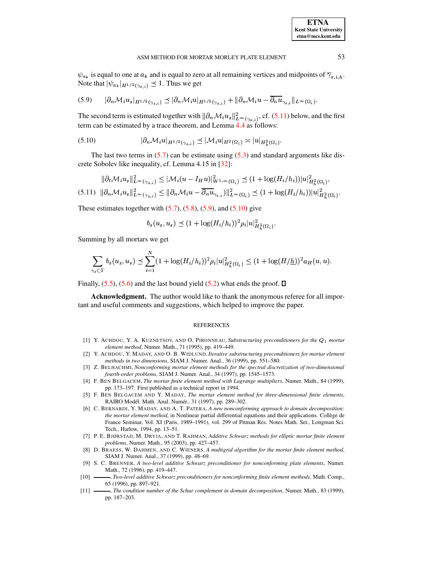$\psi_{a_k}$  is equal to one at  $a_k$  and is equal to zero at all remaining vertices and midpoints of  $\overline{\gamma}_{s,i,h}$ . Note that  $|\psi_{a_k}|_{H^{1/2}(\gamma_{s,i})} \preceq 1$ . Thus we get

<span id="page-19-12"></span>
$$
(5.9) \qquad |\partial_n \mathcal{M}_i u_s|_{H^{1/2}(\gamma_{s,i})} \preceq |\partial_n \mathcal{M}_i u|_{H^{1/2}(\gamma_{s,i})} + ||\partial_n \mathcal{M}_i u - \overline{\partial_n u}_{\gamma_{s,i}}||_{L^{\infty}(\Omega_i)}.
$$

The second term is estimated together with  $\|\partial_n\mathcal{M}_i u_s\|_{L^\infty(\gamma_{s,i})}^2$ , cf. [\(5.11\)](#page-19-11) below, and the first term can be estimated by a trace theorem, and Lemma [4.4](#page-9-2) as follows:

<span id="page-19-13"></span>
$$
(5.10) \t\t |\partial_n \mathcal{M}_i u|_{H^{1/2}(\gamma_{s,i})} \preceq |\mathcal{M}_i u|_{H^2(\Omega_i)} \asymp |u|_{H^2_h(\Omega_i)}.
$$

The last two terms in  $(5.7)$  can be estimate using  $(5.3)$  and standard arguments like discrete Sobolev like inequality, cf. Lemma 4.15 in [\[32\]](#page-20-2):

<span id="page-19-11"></span>
$$
\|\partial_t \mathcal{M}_i u_s\|_{L^{\infty}(\gamma_{s,i})}^2 \le |\mathcal{M}_i(u - I_H u)|_{W^{1,\infty}(\Omega_i)}^2 \le (1 + \log(H_i/h_i))|u|_{H_h^2(\Omega_i)}^2,
$$
  
(5.11) 
$$
\|\partial_n \mathcal{M}_i u_s\|_{L^{\infty}(\gamma_{s,i})}^2 \le \|\partial_n \mathcal{M}_i u - \overline{\partial_n u}_{\gamma_{s,i}}\|_{L^{\infty}(\Omega_i)}^2 \le (1 + \log(H_i/h_i))|u|_{H^2(\Omega_i)}^2.
$$

These estimates together with  $(5.7)$ ,  $(5.8)$ ,  $(5.9)$ , and  $(5.10)$  give

$$
b_s(u_s, u_s) \preceq (1 + \log(H_i/h_i))^2 \rho_i |u|_{H_h^2(\Omega_i)}^2.
$$

Summing by all mortars we get

$$
\sum_{\gamma_s \subset \Gamma} b_s(u_s, u_s) \preceq \sum_{i=1}^N (1 + \log(H_i/h_i))^2 \rho_i |u|_{H_h^2(\Omega_i)}^2 \leq (1 + \log(H/\underline{h}))^2 a_H(u, u).
$$

Finally,  $(5.5)$ ,  $(5.6)$  and the last bound yield  $(5.2)$  what ends the proof.  $\square$ 

**Acknowledgment.** The author would like to thank the anonymous referee for all important and useful comments and suggestions, which helped to improve the paper.

## **REFERENCES**

- <span id="page-19-6"></span>[1] Y. ACHDOU, Y. A. KUZNETSOV, AND O. PIRONNEAU, *Substructuring preconditioners for the*  $Q_1$  *mortar element method*, Numer. Math., 71 (1995), pp. 419–449.
- <span id="page-19-7"></span>[2] Y. ACHDOU, Y. MADAY, AND O. B. WIDLUND, *Iterative substructuring preconditioners for mortar element methods in two dimensions*, SIAM J. Numer. Anal., 36 (1999), pp. 551–580.
- <span id="page-19-3"></span>[3] Z. BELHACHMI, *Nonconforming mortar element methods for the spectral discretization of two-dimensional fourth-order problems*, SIAM J. Numer. Anal., 34 (1997), pp. 1545–1573.
- <span id="page-19-1"></span>[4] F. BEN BELGACEM, *The mortar finite element method with Lagrange multipliers*, Numer. Math., 84 (1999), pp. 173–197. First published as a technical report in 1994.
- <span id="page-19-2"></span>[5] F. BEN BELGACEM AND Y. MADAY, *The mortar element method for three-dimensional finite elements*, RAIRO Modél. Math. Anal. Numér., 31 (1997), pp. 289-302.
- <span id="page-19-0"></span>[6] C. BERNARDI, Y. MADAY, AND A. T. PATERA, *A new nonconforming approach to domain decomposition: the mortar element method*, in Nonlinear partial differential equations and their applications. Collège de France Seminar, Vol. XI (Paris, 1989–1991), vol. 299 of Pitman Res. Notes Math. Ser., Longman Sci. Tech., Harlow, 1994, pp. 13–51.
- <span id="page-19-8"></span>[7] P. E. BJØRSTAD, M. DRYJA, AND T. RAHMAN, *Additive Schwarz methods for elliptic mortar finite element problems*, Numer. Math., 95 (2003), pp. 427–457.
- <span id="page-19-9"></span>[8] D. BRAESS, W. DAHMEN, AND C. WIENERS, *A multigrid algorithm for the mortar finite element method*, SIAM J. Numer. Anal., 37 (1999), pp. 48–69.
- <span id="page-19-5"></span>[9] S. C. BRENNER, *A two-level additive Schwarz preconditioner for nonconforming plate elements*, Numer. Math., 72 (1996), pp. 419–447.
- <span id="page-19-4"></span>[10] , *Two-level additive Schwarz preconditioners for nonconforming finite element methods*, Math. Comp., 65 (1996), pp. 897–921.
- <span id="page-19-10"></span>[11] , *The condition number of the Schur complement in domain decomposition*, Numer. Math., 83 (1999), pp. 187–203.

**ETNA Kent State University etna@mcs.kent.edu**